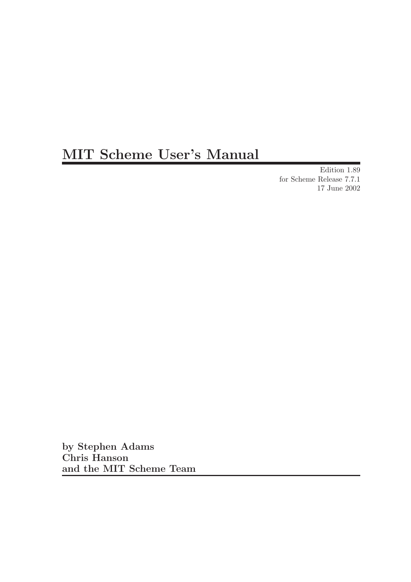# MIT Scheme User's Manual

Edition 1.89 for Scheme Release 7.7.1 17 June 2002

by Stephen Adams Chris Hanson and the MIT Scheme Team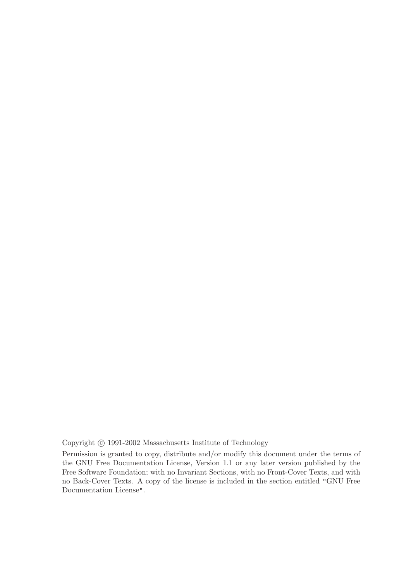Copyright  $\odot$  1991-2002 Massachusetts Institute of Technology

Permission is granted to copy, distribute and/or modify this document under the terms of the GNU Free Documentation License, Version 1.1 or any later version published by the Free Software Foundation; with no Invariant Sections, with no Front-Cover Texts, and with no Back-Cover Texts. A copy of the license is included in the section entitled "GNU Free Documentation License".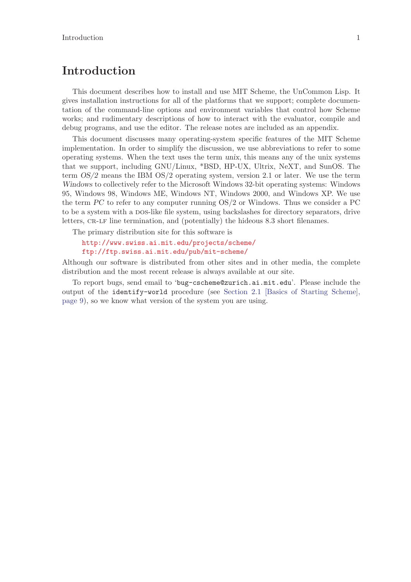## Introduction

This document describes how to install and use MIT Scheme, the UnCommon Lisp. It gives installation instructions for all of the platforms that we support; complete documentation of the command-line options and environment variables that control how Scheme works; and rudimentary descriptions of how to interact with the evaluator, compile and debug programs, and use the editor. The release notes are included as an appendix.

This document discusses many operating-system specific features of the MIT Scheme implementation. In order to simplify the discussion, we use abbreviations to refer to some operating systems. When the text uses the term unix, this means any of the unix systems that we support, including GNU/Linux, \*BSD, HP-UX, Ultrix, NeXT, and SunOS. The term OS/2 means the IBM OS/2 operating system, version 2.1 or later. We use the term Windows to collectively refer to the Microsoft Windows 32-bit operating systems: Windows 95, Windows 98, Windows ME, Windows NT, Windows 2000, and Windows XP. We use the term PC to refer to any computer running OS/2 or Windows. Thus we consider a PC to be a system with a DOS-like file system, using backslashes for directory separators, drive letters, CR-LF line termination, and (potentially) the hideous 8.3 short filenames.

The primary distribution site for this software is

### <http://www.swiss.ai.mit.edu/projects/scheme/> <ftp://ftp.swiss.ai.mit.edu/pub/mit-scheme/>

Although our software is distributed from other sites and in other media, the complete distribution and the most recent release is always available at our site.

To report bugs, send email to 'bug-cscheme@zurich.ai.mit.edu'. Please include the output of the identify-world procedure (see [Section 2.1 \[Basics of Starting Scheme\],](#page-10-0) [page 9\)](#page-10-0), so we know what version of the system you are using.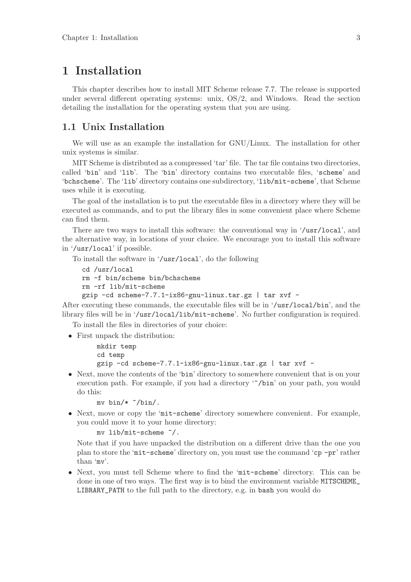## 1 Installation

This chapter describes how to install MIT Scheme release 7.7. The release is supported under several different operating systems: unix, OS/2, and Windows. Read the section detailing the installation for the operating system that you are using.

## 1.1 Unix Installation

We will use as an example the installation for GNU/Linux. The installation for other unix systems is similar.

MIT Scheme is distributed as a compressed 'tar' file. The tar file contains two directories, called 'bin' and 'lib'. The 'bin' directory contains two executable files, 'scheme' and 'bchscheme'. The 'lib' directory contains one subdirectory, 'lib/mit-scheme', that Scheme uses while it is executing.

The goal of the installation is to put the executable files in a directory where they will be executed as commands, and to put the library files in some convenient place where Scheme can find them.

There are two ways to install this software: the conventional way in '/usr/local', and the alternative way, in locations of your choice. We encourage you to install this software in '/usr/local' if possible.

To install the software in '/usr/local', do the following

```
cd /usr/local
```
rm -f bin/scheme bin/bchscheme

rm -rf lib/mit-scheme

gzip -cd scheme-7.7.1-ix86-gnu-linux.tar.gz | tar xvf -

After executing these commands, the executable files will be in '/usr/local/bin', and the library files will be in '/usr/local/lib/mit-scheme'. No further configuration is required.

To install the files in directories of your choice:

• First unpack the distribution:

mkdir temp

cd temp

- gzip -cd scheme-7.7.1-ix86-gnu-linux.tar.gz | tar xvf -
- Next, move the contents of the 'bin' directory to somewhere convenient that is on your execution path. For example, if you had a directory "/bin' on your path, you would do this:

```
my bin/* \gamma bin/.
```
• Next, move or copy the 'mit-scheme' directory somewhere convenient. For example, you could move it to your home directory:

```
mv lib/mit-scheme ~/.
```
Note that if you have unpacked the distribution on a different drive than the one you plan to store the 'mit-scheme' directory on, you must use the command 'cp -pr' rather than 'mv'.

• Next, you must tell Scheme where to find the 'mit-scheme' directory. This can be done in one of two ways. The first way is to bind the environment variable MITSCHEME LIBRARY\_PATH to the full path to the directory, e.g. in bash you would do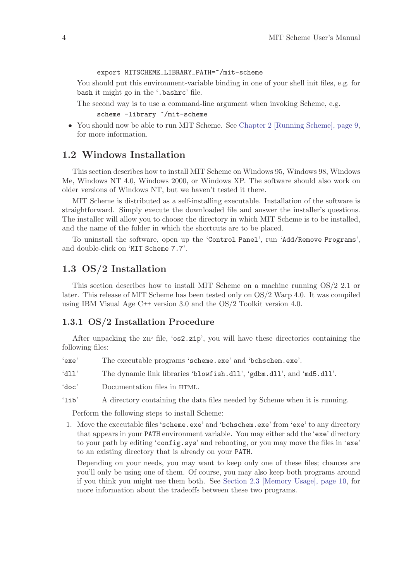export MITSCHEME\_LIBRARY\_PATH=~/mit-scheme

You should put this environment-variable binding in one of your shell init files, e.g. for bash it might go in the '.bashrc' file.

The second way is to use a command-line argument when invoking Scheme, e.g.

scheme -library "/mit-scheme

• You should now be able to run MIT Scheme. See [Chapter 2 \[Running Scheme\], page 9,](#page-10-1) for more information.

## 1.2 Windows Installation

This section describes how to install MIT Scheme on Windows 95, Windows 98, Windows Me, Windows NT 4.0, Windows 2000, or Windows XP. The software should also work on older versions of Windows NT, but we haven't tested it there.

MIT Scheme is distributed as a self-installing executable. Installation of the software is straightforward. Simply execute the downloaded file and answer the installer's questions. The installer will allow you to choose the directory in which MIT Scheme is to be installed, and the name of the folder in which the shortcuts are to be placed.

To uninstall the software, open up the 'Control Panel', run 'Add/Remove Programs', and double-click on 'MIT Scheme 7.7'.

## 1.3 OS/2 Installation

This section describes how to install MIT Scheme on a machine running OS/2 2.1 or later. This release of MIT Scheme has been tested only on OS/2 Warp 4.0. It was compiled using IBM Visual Age C++ version 3.0 and the OS/2 Toolkit version 4.0.

#### 1.3.1 OS/2 Installation Procedure

After unpacking the zip file, ' $\sigma s2.$ zip', you will have these directories containing the following files:

- 'exe' The executable programs 'scheme.exe' and 'bchschem.exe'.
- 'dll' The dynamic link libraries 'blowfish.dll', 'gdbm.dll', and 'md5.dll'.
- 'doc' Documentation files in HTML.
- 'lib' A directory containing the data files needed by Scheme when it is running.

Perform the following steps to install Scheme:

1. Move the executable files 'scheme.exe' and 'bchschem.exe' from 'exe' to any directory that appears in your PATH environment variable. You may either add the 'exe' directory to your path by editing 'config.sys' and rebooting, or you may move the files in 'exe' to an existing directory that is already on your PATH.

Depending on your needs, you may want to keep only one of these files; chances are you'll only be using one of them. Of course, you may also keep both programs around if you think you might use them both. See [Section 2.3 \[Memory Usage\], page 10,](#page-11-0) for more information about the tradeoffs between these two programs.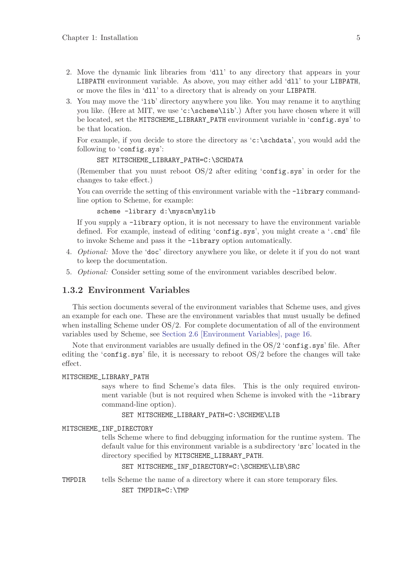- 2. Move the dynamic link libraries from 'dll' to any directory that appears in your LIBPATH environment variable. As above, you may either add 'dll' to your LIBPATH, or move the files in 'dll' to a directory that is already on your LIBPATH.
- 3. You may move the 'lib' directory anywhere you like. You may rename it to anything you like. (Here at MIT, we use 'c:\scheme\lib'.) After you have chosen where it will be located, set the MITSCHEME\_LIBRARY\_PATH environment variable in 'config.sys' to be that location.

For example, if you decide to store the directory as 'c:\schdata', you would add the following to 'config.sys':

SET MITSCHEME\_LIBRARY\_PATH=C:\SCHDATA

(Remember that you must reboot OS/2 after editing 'config.sys' in order for the changes to take effect.)

You can override the setting of this environment variable with the  $-Iibrary command$ line option to Scheme, for example:

scheme -library d:\myscm\mylib

If you supply a -library option, it is not necessary to have the environment variable defined. For example, instead of editing 'config.sys', you might create a '.cmd' file to invoke Scheme and pass it the -library option automatically.

- 4. Optional: Move the 'doc' directory anywhere you like, or delete it if you do not want to keep the documentation.
- 5. Optional: Consider setting some of the environment variables described below.

#### 1.3.2 Environment Variables

This section documents several of the environment variables that Scheme uses, and gives an example for each one. These are the environment variables that must usually be defined when installing Scheme under OS/2. For complete documentation of all of the environment variables used by Scheme, see [Section 2.6 \[Environment Variables\], page 16.](#page-17-0)

Note that environment variables are usually defined in the  $OS/2$  'config.sys' file. After editing the 'config.sys' file, it is necessary to reboot OS/2 before the changes will take effect.

#### MITSCHEME\_LIBRARY\_PATH

says where to find Scheme's data files. This is the only required environment variable (but is not required when Scheme is invoked with the -library command-line option).

SET MITSCHEME\_LIBRARY\_PATH=C:\SCHEME\LIB

#### MITSCHEME\_INF\_DIRECTORY

tells Scheme where to find debugging information for the runtime system. The default value for this environment variable is a subdirectory 'src' located in the directory specified by MITSCHEME\_LIBRARY\_PATH.

SET MITSCHEME\_INF\_DIRECTORY=C:\SCHEME\LIB\SRC

TMPDIR tells Scheme the name of a directory where it can store temporary files. SET TMPDIR=C:\TMP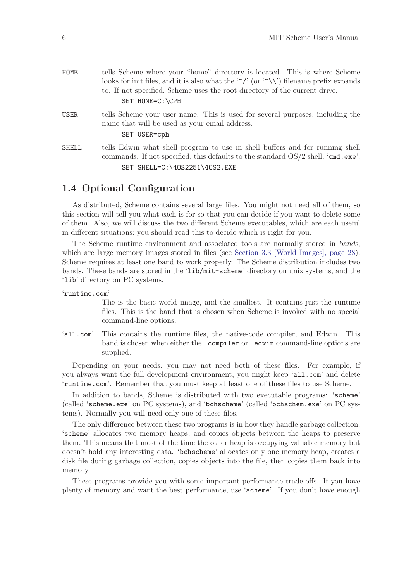| <b>HOME</b>  | tells Scheme where your "home" directory is located. This is where Scheme<br>looks for init files, and it is also what the "/' (or "\\') filename prefix expands<br>to. If not specified, Scheme uses the root directory of the current drive. |
|--------------|------------------------------------------------------------------------------------------------------------------------------------------------------------------------------------------------------------------------------------------------|
|              | SET HOME=C:\CPH                                                                                                                                                                                                                                |
| USER         | tells Scheme your user name. This is used for several purposes, including the<br>name that will be used as your email address.<br>SET USER=cph                                                                                                 |
| <b>SHELL</b> | tells Edwin what shell program to use in shell buffers and for running shell<br>commands. If not specified, this defaults to the standard OS/2 shell, 'cmd. exe'.<br>SET SHELL=C:\40S2251\40S2.EXE                                             |
|              |                                                                                                                                                                                                                                                |

## 1.4 Optional Configuration

<span id="page-7-0"></span>As distributed, Scheme contains several large files. You might not need all of them, so this section will tell you what each is for so that you can decide if you want to delete some of them. Also, we will discuss the two different Scheme executables, which are each useful in different situations; you should read this to decide which is right for you.

The Scheme runtime environment and associated tools are normally stored in bands, which are large memory images stored in files (see [Section 3.3 \[World Images\], page 28\)](#page-29-0). Scheme requires at least one band to work properly. The Scheme distribution includes two bands. These bands are stored in the 'lib/mit-scheme' directory on unix systems, and the 'lib' directory on PC systems.

'runtime.com'

The is the basic world image, and the smallest. It contains just the runtime files. This is the band that is chosen when Scheme is invoked with no special command-line options.

'all.com' This contains the runtime files, the native-code compiler, and Edwin. This band is chosen when either the -compiler or -edwin command-line options are supplied.

Depending on your needs, you may not need both of these files. For example, if you always want the full development environment, you might keep 'all.com' and delete 'runtime.com'. Remember that you must keep at least one of these files to use Scheme.

In addition to bands, Scheme is distributed with two executable programs: 'scheme' (called 'scheme.exe' on PC systems), and 'bchscheme' (called 'bchschem.exe' on PC systems). Normally you will need only one of these files.

The only difference between these two programs is in how they handle garbage collection. 'scheme' allocates two memory heaps, and copies objects between the heaps to preserve them. This means that most of the time the other heap is occupying valuable memory but doesn't hold any interesting data. 'bchscheme' allocates only one memory heap, creates a disk file during garbage collection, copies objects into the file, then copies them back into memory.

These programs provide you with some important performance trade-offs. If you have plenty of memory and want the best performance, use 'scheme'. If you don't have enough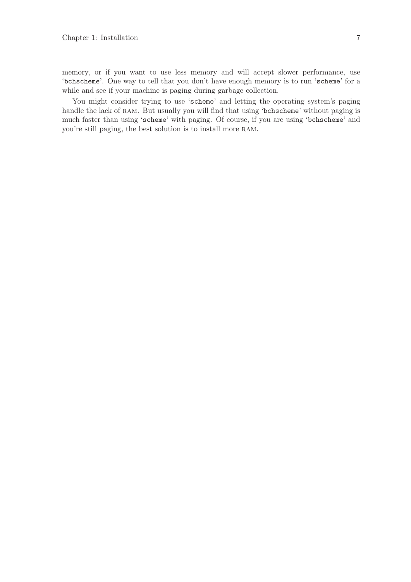memory, or if you want to use less memory and will accept slower performance, use 'bchscheme'. One way to tell that you don't have enough memory is to run 'scheme' for a while and see if your machine is paging during garbage collection.

You might consider trying to use 'scheme' and letting the operating system's paging handle the lack of RAM. But usually you will find that using 'bchscheme' without paging is much faster than using 'scheme' with paging. Of course, if you are using 'bchscheme' and you're still paging, the best solution is to install more ram.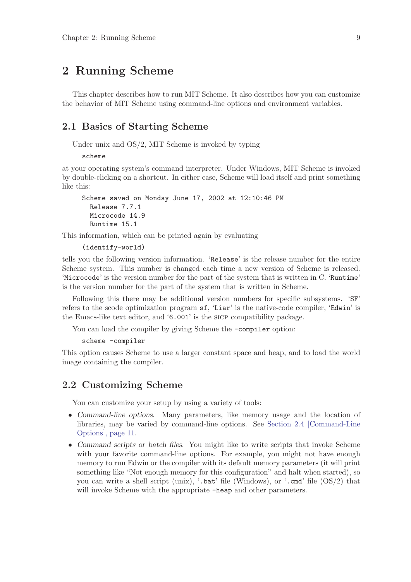## 2 Running Scheme

<span id="page-10-1"></span>This chapter describes how to run MIT Scheme. It also describes how you can customize the behavior of MIT Scheme using command-line options and environment variables.

## 2.1 Basics of Starting Scheme

<span id="page-10-0"></span>Under unix and OS/2, MIT Scheme is invoked by typing

scheme

at your operating system's command interpreter. Under Windows, MIT Scheme is invoked by double-clicking on a shortcut. In either case, Scheme will load itself and print something like this:

```
Scheme saved on Monday June 17, 2002 at 12:10:46 PM
 Release 7.7.1
  Microcode 14.9
  Runtime 15.1
```
This information, which can be printed again by evaluating

```
(identify-world)
```
tells you the following version information. 'Release' is the release number for the entire Scheme system. This number is changed each time a new version of Scheme is released. 'Microcode' is the version number for the part of the system that is written in C. 'Runtime' is the version number for the part of the system that is written in Scheme.

Following this there may be additional version numbers for specific subsystems. 'SF' refers to the scode optimization program sf, 'Liar' is the native-code compiler, 'Edwin' is the Emacs-like text editor, and '6.001' is the sicp compatibility package.

You can load the compiler by giving Scheme the  $\sim$ compiler option:

```
scheme -compiler
```
This option causes Scheme to use a larger constant space and heap, and to load the world image containing the compiler.

## 2.2 Customizing Scheme

You can customize your setup by using a variety of tools:

- Command-line options. Many parameters, like memory usage and the location of libraries, may be varied by command-line options. See [Section 2.4 \[Command-Line](#page-12-0) [Options\], page 11](#page-12-0).
- Command scripts or batch files. You might like to write scripts that invoke Scheme with your favorite command-line options. For example, you might not have enough memory to run Edwin or the compiler with its default memory parameters (it will print something like "Not enough memory for this configuration" and halt when started), so you can write a shell script (unix), '.bat' file (Windows), or '.cmd' file (OS/2) that will invoke Scheme with the appropriate  $-\text{heap}$  and other parameters.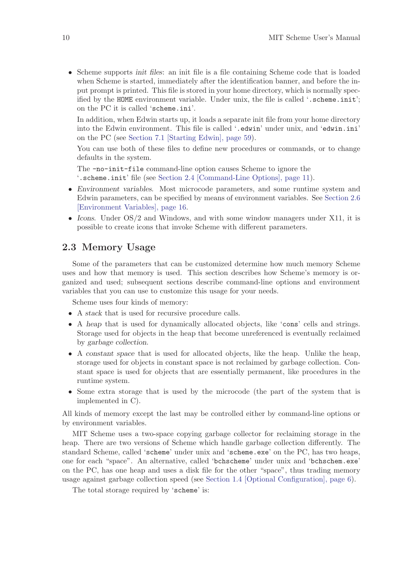• Scheme supports *init files*: an init file is a file containing Scheme code that is loaded when Scheme is started, immediately after the identification banner, and before the input prompt is printed. This file is stored in your home directory, which is normally specified by the HOME environment variable. Under unix, the file is called '.scheme.init'; on the PC it is called 'scheme.ini'.

In addition, when Edwin starts up, it loads a separate init file from your home directory into the Edwin environment. This file is called '.edwin' under unix, and 'edwin.ini' on the PC (see [Section 7.1 \[Starting Edwin\], page 59](#page-60-0)).

You can use both of these files to define new procedures or commands, or to change defaults in the system.

The -no-init-file command-line option causes Scheme to ignore the '.scheme.init' file (see [Section 2.4 \[Command-Line Options\], page 11](#page-12-0)).

- Environment variables. Most microcode parameters, and some runtime system and Edwin parameters, can be specified by means of environment variables. See [Section 2.6](#page-17-0) [\[Environment Variables\], page 16.](#page-17-0)
- Icons. Under OS/2 and Windows, and with some window managers under X11, it is possible to create icons that invoke Scheme with different parameters.

## 2.3 Memory Usage

<span id="page-11-0"></span>Some of the parameters that can be customized determine how much memory Scheme uses and how that memory is used. This section describes how Scheme's memory is organized and used; subsequent sections describe command-line options and environment variables that you can use to customize this usage for your needs.

Scheme uses four kinds of memory:

- A stack that is used for recursive procedure calls.
- A heap that is used for dynamically allocated objects, like 'cons' cells and strings. Storage used for objects in the heap that become unreferenced is eventually reclaimed by garbage collection.
- A constant space that is used for allocated objects, like the heap. Unlike the heap, storage used for objects in constant space is not reclaimed by garbage collection. Constant space is used for objects that are essentially permanent, like procedures in the runtime system.
- Some extra storage that is used by the microcode (the part of the system that is implemented in C).

All kinds of memory except the last may be controlled either by command-line options or by environment variables.

MIT Scheme uses a two-space copying garbage collector for reclaiming storage in the heap. There are two versions of Scheme which handle garbage collection differently. The standard Scheme, called 'scheme' under unix and 'scheme.exe' on the PC, has two heaps, one for each "space". An alternative, called 'bchscheme' under unix and 'bchschem.exe' on the PC, has one heap and uses a disk file for the other "space", thus trading memory usage against garbage collection speed (see [Section 1.4 \[Optional Configuration\], page 6\)](#page-7-0).

The total storage required by 'scheme' is: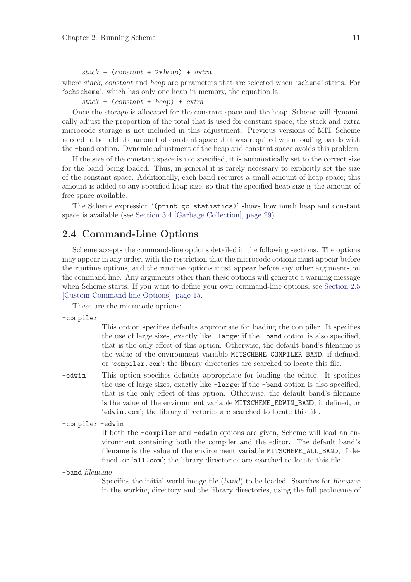stack + (constant + 2\*heap) + extra

where stack, constant and heap are parameters that are selected when 'scheme' starts. For 'bchscheme', which has only one heap in memory, the equation is

stack + (constant + heap) + extra

Once the storage is allocated for the constant space and the heap, Scheme will dynamically adjust the proportion of the total that is used for constant space; the stack and extra microcode storage is not included in this adjustment. Previous versions of MIT Scheme needed to be told the amount of constant space that was required when loading bands with the -band option. Dynamic adjustment of the heap and constant space avoids this problem.

If the size of the constant space is not specified, it is automatically set to the correct size for the band being loaded. Thus, in general it is rarely necessary to explicitly set the size of the constant space. Additionally, each band requires a small amount of heap space; this amount is added to any specified heap size, so that the specified heap size is the amount of free space available.

The Scheme expression '(print-gc-statistics)' shows how much heap and constant space is available (see [Section 3.4 \[Garbage Collection\], page 29](#page-30-0)).

## 2.4 Command-Line Options

<span id="page-12-0"></span>Scheme accepts the command-line options detailed in the following sections. The options may appear in any order, with the restriction that the microcode options must appear before the runtime options, and the runtime options must appear before any other arguments on the command line. Any arguments other than these options will generate a warning message when Scheme starts. If you want to define your own command-line options, see [Section 2.5](#page-16-0) [\[Custom Command-line Options\], page 15.](#page-16-0)

These are the microcode options:

```
-compiler
```
This option specifies defaults appropriate for loading the compiler. It specifies the use of large sizes, exactly like -large; if the -band option is also specified, that is the only effect of this option. Otherwise, the default band's filename is the value of the environment variable MITSCHEME\_COMPILER\_BAND, if defined, or 'compiler.com'; the library directories are searched to locate this file.

-edwin This option specifies defaults appropriate for loading the editor. It specifies the use of large sizes, exactly like -large; if the -band option is also specified, that is the only effect of this option. Otherwise, the default band's filename is the value of the environment variable MITSCHEME\_EDWIN\_BAND, if defined, or 'edwin.com'; the library directories are searched to locate this file.

-compiler -edwin

If both the -compiler and -edwin options are given, Scheme will load an environment containing both the compiler and the editor. The default band's filename is the value of the environment variable MITSCHEME\_ALL\_BAND, if defined, or 'all.com'; the library directories are searched to locate this file.

-band filename

Specifies the initial world image file (band) to be loaded. Searches for filename in the working directory and the library directories, using the full pathname of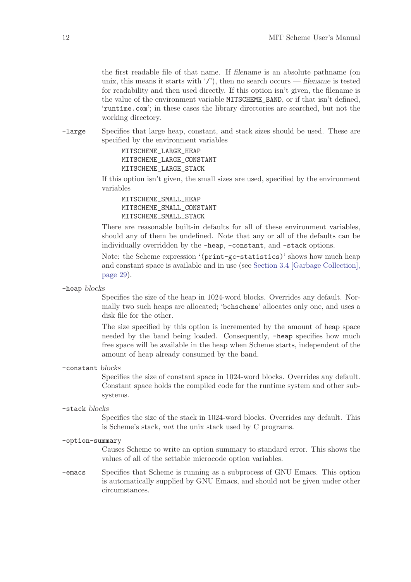the first readable file of that name. If filename is an absolute pathname (on unix, this means it starts with '/'), then no search occurs — filename is tested for readability and then used directly. If this option isn't given, the filename is the value of the environment variable MITSCHEME\_BAND, or if that isn't defined, 'runtime.com'; in these cases the library directories are searched, but not the working directory.

-large Specifies that large heap, constant, and stack sizes should be used. These are specified by the environment variables

> MITSCHEME\_LARGE\_HEAP MITSCHEME\_LARGE\_CONSTANT MITSCHEME\_LARGE\_STACK

If this option isn't given, the small sizes are used, specified by the environment variables

MITSCHEME\_SMALL\_HEAP MITSCHEME\_SMALL\_CONSTANT MITSCHEME\_SMALL\_STACK

There are reasonable built-in defaults for all of these environment variables, should any of them be undefined. Note that any or all of the defaults can be individually overridden by the -heap, -constant, and -stack options.

Note: the Scheme expression '(print-gc-statistics)' shows how much heap and constant space is available and in use (see [Section 3.4 \[Garbage Collection\],](#page-30-0) [page 29\)](#page-30-0).

-heap blocks

Specifies the size of the heap in 1024-word blocks. Overrides any default. Normally two such heaps are allocated; 'bchscheme' allocates only one, and uses a disk file for the other.

The size specified by this option is incremented by the amount of heap space needed by the band being loaded. Consequently, -heap specifies how much free space will be available in the heap when Scheme starts, independent of the amount of heap already consumed by the band.

-constant blocks

Specifies the size of constant space in 1024-word blocks. Overrides any default. Constant space holds the compiled code for the runtime system and other subsystems.

-stack blocks

Specifies the size of the stack in 1024-word blocks. Overrides any default. This is Scheme's stack, not the unix stack used by C programs.

-option-summary

Causes Scheme to write an option summary to standard error. This shows the values of all of the settable microcode option variables.

-emacs Specifies that Scheme is running as a subprocess of GNU Emacs. This option is automatically supplied by GNU Emacs, and should not be given under other circumstances.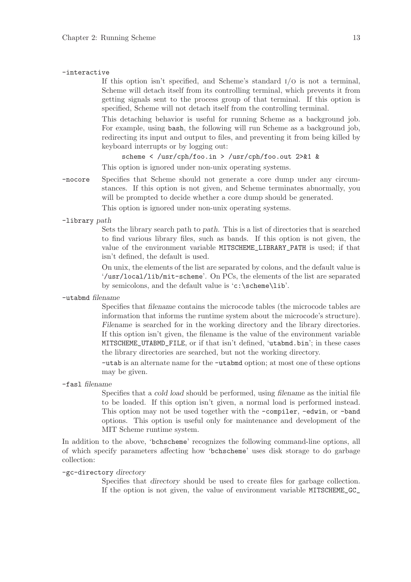#### -interactive

If this option isn't specified, and Scheme's standard i/o is not a terminal, Scheme will detach itself from its controlling terminal, which prevents it from getting signals sent to the process group of that terminal. If this option is specified, Scheme will not detach itself from the controlling terminal.

This detaching behavior is useful for running Scheme as a background job. For example, using bash, the following will run Scheme as a background job, redirecting its input and output to files, and preventing it from being killed by keyboard interrupts or by logging out:

scheme < /usr/cph/foo.in > /usr/cph/foo.out 2>&1 & This option is ignored under non-unix operating systems.

-nocore Specifies that Scheme should not generate a core dump under any circumstances. If this option is not given, and Scheme terminates abnormally, you will be prompted to decide whether a core dump should be generated.

This option is ignored under non-unix operating systems.

-library path

Sets the library search path to path. This is a list of directories that is searched to find various library files, such as bands. If this option is not given, the value of the environment variable MITSCHEME\_LIBRARY\_PATH is used; if that isn't defined, the default is used.

On unix, the elements of the list are separated by colons, and the default value is '/usr/local/lib/mit-scheme'. On PCs, the elements of the list are separated by semicolons, and the default value is 'c:\scheme\lib'.

-utabmd filename

Specifies that filename contains the microcode tables (the microcode tables are information that informs the runtime system about the microcode's structure). Filename is searched for in the working directory and the library directories. If this option isn't given, the filename is the value of the environment variable MITSCHEME\_UTABMD\_FILE, or if that isn't defined, 'utabmd.bin'; in these cases the library directories are searched, but not the working directory.

-utab is an alternate name for the -utabmd option; at most one of these options may be given.

-fasl filename

Specifies that a cold load should be performed, using filename as the initial file to be loaded. If this option isn't given, a normal load is performed instead. This option may not be used together with the -compiler, -edwin, or -band options. This option is useful only for maintenance and development of the MIT Scheme runtime system.

In addition to the above, 'bchscheme' recognizes the following command-line options, all of which specify parameters affecting how 'bchscheme' uses disk storage to do garbage collection:

-gc-directory directory

Specifies that directory should be used to create files for garbage collection. If the option is not given, the value of environment variable MITSCHEME\_GC\_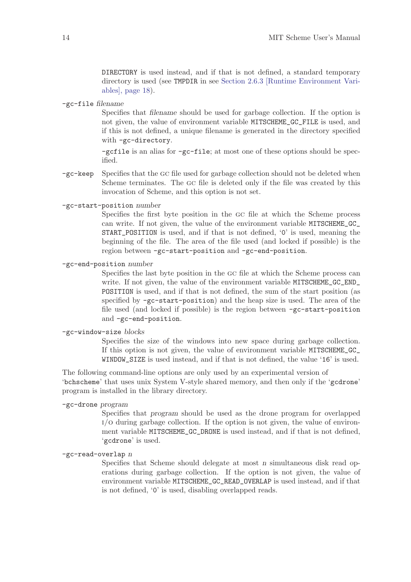DIRECTORY is used instead, and if that is not defined, a standard temporary directory is used (see TMPDIR in see [Section 2.6.3 \[Runtime Environment Vari](#page-19-0)[ables\], page 18](#page-19-0)).

-gc-file filename

Specifies that filename should be used for garbage collection. If the option is not given, the value of environment variable MITSCHEME\_GC\_FILE is used, and if this is not defined, a unique filename is generated in the directory specified with -gc-directory.

-gcfile is an alias for -gc-file; at most one of these options should be specified.

- -gc-keep Specifies that the gc file used for garbage collection should not be deleted when Scheme terminates. The gc file is deleted only if the file was created by this invocation of Scheme, and this option is not set.
- -gc-start-position number

Specifies the first byte position in the gc file at which the Scheme process can write. If not given, the value of the environment variable MITSCHEME\_GC\_ START\_POSITION is used, and if that is not defined, '0' is used, meaning the beginning of the file. The area of the file used (and locked if possible) is the region between -gc-start-position and -gc-end-position.

-gc-end-position number

Specifies the last byte position in the gc file at which the Scheme process can write. If not given, the value of the environment variable MITSCHEME\_GC\_END\_ POSITION is used, and if that is not defined, the sum of the start position (as specified by -gc-start-position) and the heap size is used. The area of the file used (and locked if possible) is the region between -gc-start-position and -gc-end-position.

-gc-window-size blocks

Specifies the size of the windows into new space during garbage collection. If this option is not given, the value of environment variable MITSCHEME\_GC\_ WINDOW\_SIZE is used instead, and if that is not defined, the value '16' is used.

The following command-line options are only used by an experimental version of 'bchscheme' that uses unix System V-style shared memory, and then only if the 'gcdrone' program is installed in the library directory.

#### -gc-drone program

Specifies that program should be used as the drone program for overlapped i/o during garbage collection. If the option is not given, the value of environment variable MITSCHEME\_GC\_DRONE is used instead, and if that is not defined, 'gcdrone' is used.

 $-gc$ -read-overlap  $n$ 

Specifies that Scheme should delegate at most n simultaneous disk read operations during garbage collection. If the option is not given, the value of environment variable MITSCHEME\_GC\_READ\_OVERLAP is used instead, and if that is not defined, '0' is used, disabling overlapped reads.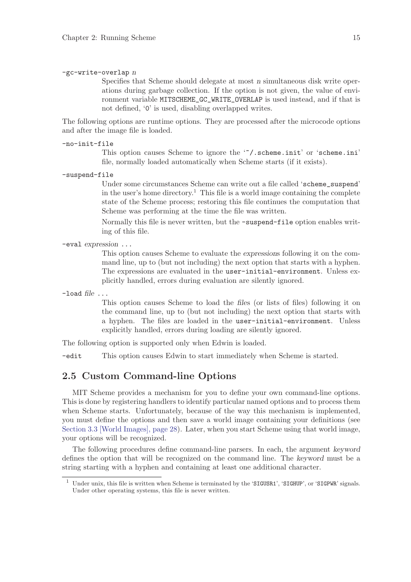#### $-gc-write-overlap$  n

Specifies that Scheme should delegate at most n simultaneous disk write operations during garbage collection. If the option is not given, the value of environment variable MITSCHEME\_GC\_WRITE\_OVERLAP is used instead, and if that is not defined, '0' is used, disabling overlapped writes.

The following options are runtime options. They are processed after the microcode options and after the image file is loaded.

-no-init-file

This option causes Scheme to ignore the '"/.scheme.init' or 'scheme.ini' file, normally loaded automatically when Scheme starts (if it exists).

-suspend-file

Under some circumstances Scheme can write out a file called 'scheme\_suspend' in the user's home directory.<sup>1</sup> This file is a world image containing the complete state of the Scheme process; restoring this file continues the computation that Scheme was performing at the time the file was written.

Normally this file is never written, but the -suspend-file option enables writing of this file.

-eval expression ...

This option causes Scheme to evaluate the expressions following it on the command line, up to (but not including) the next option that starts with a hyphen. The expressions are evaluated in the user-initial-environment. Unless explicitly handled, errors during evaluation are silently ignored.

 $-$ load file  $\ldots$ 

This option causes Scheme to load the files (or lists of files) following it on the command line, up to (but not including) the next option that starts with a hyphen. The files are loaded in the user-initial-environment. Unless explicitly handled, errors during loading are silently ignored.

The following option is supported only when Edwin is loaded.

-edit This option causes Edwin to start immediately when Scheme is started.

## 2.5 Custom Command-line Options

<span id="page-16-0"></span>MIT Scheme provides a mechanism for you to define your own command-line options. This is done by registering handlers to identify particular named options and to process them when Scheme starts. Unfortunately, because of the way this mechanism is implemented, you must define the options and then save a world image containing your definitions (see [Section 3.3 \[World Images\], page 28\)](#page-29-0). Later, when you start Scheme using that world image, your options will be recognized.

The following procedures define command-line parsers. In each, the argument keyword defines the option that will be recognized on the command line. The keyword must be a string starting with a hyphen and containing at least one additional character.

Under unix, this file is written when Scheme is terminated by the 'SIGUSR1', 'SIGHUP', or 'SIGPWR' signals. Under other operating systems, this file is never written.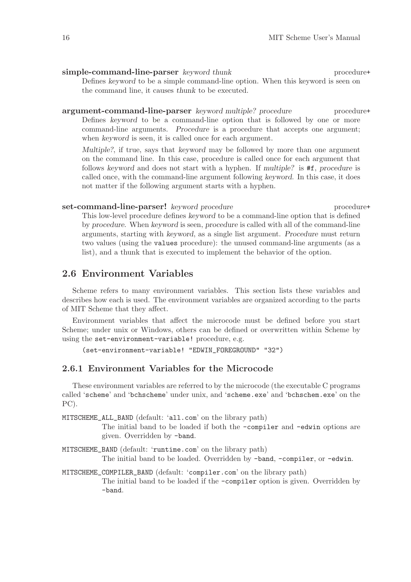simple-command-line-parser keyword thunk procedure+ Defines keyword to be a simple command-line option. When this keyword is seen on the command line, it causes thunk to be executed.

argument-command-line-parser keyword multiple? procedure procedure+ Defines keyword to be a command-line option that is followed by one or more command-line arguments. Procedure is a procedure that accepts one argument; when keyword is seen, it is called once for each argument.

Multiple?, if true, says that keyword may be followed by more than one argument on the command line. In this case, procedure is called once for each argument that follows keyword and does not start with a hyphen. If multiple? is #f, procedure is called once, with the command-line argument following keyword. In this case, it does not matter if the following argument starts with a hyphen.

#### set-command-line-parser! keyword procedure procedure procedure+

This low-level procedure defines keyword to be a command-line option that is defined by procedure. When keyword is seen, procedure is called with all of the command-line arguments, starting with keyword, as a single list argument. Procedure must return two values (using the values procedure): the unused command-line arguments (as a list), and a thunk that is executed to implement the behavior of the option.

## 2.6 Environment Variables

<span id="page-17-0"></span>Scheme refers to many environment variables. This section lists these variables and describes how each is used. The environment variables are organized according to the parts of MIT Scheme that they affect.

Environment variables that affect the microcode must be defined before you start Scheme; under unix or Windows, others can be defined or overwritten within Scheme by using the set-environment-variable! procedure, e.g.

```
(set-environment-variable! "EDWIN_FOREGROUND" "32")
```
## 2.6.1 Environment Variables for the Microcode

These environment variables are referred to by the microcode (the executable C programs called 'scheme' and 'bchscheme' under unix, and 'scheme.exe' and 'bchschem.exe' on the PC).

MITSCHEME\_ALL\_BAND (default: 'all.com' on the library path)

The initial band to be loaded if both the -compiler and -edwin options are given. Overridden by -band.

MITSCHEME\_BAND (default: 'runtime.com' on the library path)

The initial band to be loaded. Overridden by -band, -compiler, or -edwin.

MITSCHEME\_COMPILER\_BAND (default: 'compiler.com' on the library path)

The initial band to be loaded if the -compiler option is given. Overridden by -band.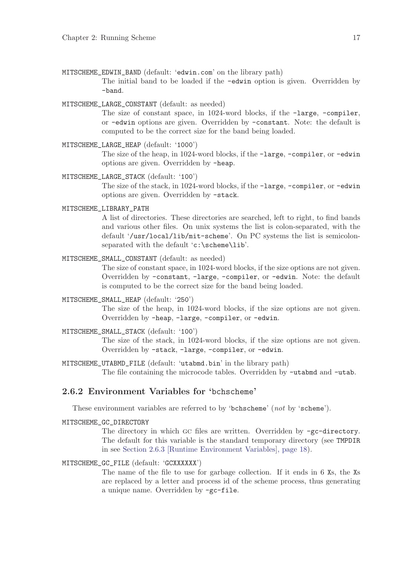- MITSCHEME\_EDWIN\_BAND (default: 'edwin.com' on the library path) The initial band to be loaded if the -edwin option is given. Overridden by -band.
- MITSCHEME LARGE CONSTANT (default: as needed)

The size of constant space, in 1024-word blocks, if the -large, -compiler, or -edwin options are given. Overridden by -constant. Note: the default is computed to be the correct size for the band being loaded.

MITSCHEME\_LARGE\_HEAP (default: '1000')

The size of the heap, in 1024-word blocks, if the -large, -compiler, or -edwin options are given. Overridden by -heap.

- MITSCHEME\_LARGE\_STACK (default: '100') The size of the stack, in 1024-word blocks, if the -large, -compiler, or -edwin options are given. Overridden by -stack.
- MITSCHEME\_LIBRARY\_PATH

A list of directories. These directories are searched, left to right, to find bands and various other files. On unix systems the list is colon-separated, with the default '/usr/local/lib/mit-scheme'. On PC systems the list is semicolonseparated with the default 'c:\scheme\lib'.

MITSCHEME\_SMALL\_CONSTANT (default: as needed)

The size of constant space, in 1024-word blocks, if the size options are not given. Overridden by -constant, -large, -compiler, or -edwin. Note: the default is computed to be the correct size for the band being loaded.

MITSCHEME\_SMALL\_HEAP (default: '250')

The size of the heap, in 1024-word blocks, if the size options are not given. Overridden by -heap, -large, -compiler, or -edwin.

MITSCHEME\_SMALL\_STACK (default: '100')

The size of the stack, in 1024-word blocks, if the size options are not given. Overridden by -stack, -large, -compiler, or -edwin.

MITSCHEME\_UTABMD\_FILE (default: 'utabmd.bin' in the library path) The file containing the microcode tables. Overridden by -utabmd and -utab.

## 2.6.2 Environment Variables for 'bchscheme'

These environment variables are referred to by 'bchscheme' (not by 'scheme').

MITSCHEME\_GC\_DIRECTORY

The directory in which GC files are written. Overridden by -gc-directory. The default for this variable is the standard temporary directory (see TMPDIR in see [Section 2.6.3 \[Runtime Environment Variables\], page 18](#page-19-0)).

#### MITSCHEME\_GC\_FILE (default: 'GCXXXXXX')

The name of the file to use for garbage collection. If it ends in 6 Xs, the Xs are replaced by a letter and process id of the scheme process, thus generating a unique name. Overridden by -gc-file.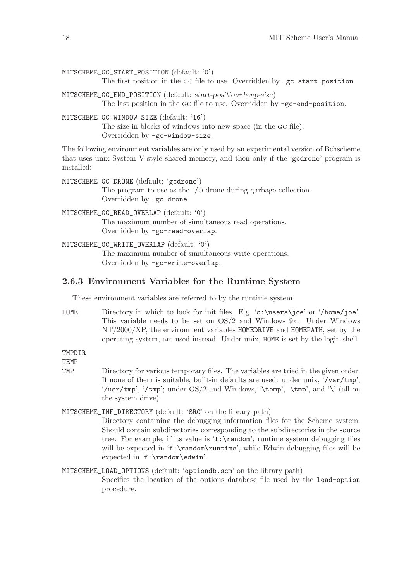MITSCHEME\_GC\_START\_POSITION (default: '0')

The first position in the GC file to use. Overridden by  $-gc-start-position$ .

MITSCHEME\_GC\_END\_POSITION (default: start-position+heap-size) The last position in the GC file to use. Overridden by  $-gc$ -end-position.

MITSCHEME\_GC\_WINDOW\_SIZE (default: '16')

The size in blocks of windows into new space (in the gc file). Overridden by -gc-window-size.

The following environment variables are only used by an experimental version of Bchscheme that uses unix System V-style shared memory, and then only if the 'gcdrone' program is installed:

MITSCHEME\_GC\_DRONE (default: 'gcdrone') The program to use as the  $I/O$  drone during garbage collection. Overridden by -gc-drone. MITSCHEME GC\_READ\_OVERLAP (default: '0')

> The maximum number of simultaneous read operations. Overridden by -gc-read-overlap.

MITSCHEME\_GC\_WRITE\_OVERLAP (default: '0') The maximum number of simultaneous write operations. Overridden by -gc-write-overlap.

### 2.6.3 Environment Variables for the Runtime System

<span id="page-19-0"></span>These environment variables are referred to by the runtime system.

HOME Directory in which to look for init files. E.g. 'c:\users\joe' or '/home/joe'. This variable needs to be set on OS/2 and Windows 9x. Under Windows NT/2000/XP, the environment variables HOMEDRIVE and HOMEPATH, set by the operating system, are used instead. Under unix, HOME is set by the login shell.

TMPDIR

**TEMP** 

TMP Directory for various temporary files. The variables are tried in the given order. If none of them is suitable, built-in defaults are used: under unix, '/var/tmp', '/usr/tmp', '/tmp'; under OS/2 and Windows, '\temp', '\tmp', and '\' (all on the system drive).

## MITSCHEME\_INF\_DIRECTORY (default: 'SRC' on the library path)

procedure.

Directory containing the debugging information files for the Scheme system. Should contain subdirectories corresponding to the subdirectories in the source tree. For example, if its value is 'f:\random', runtime system debugging files will be expected in 'f:\random\runtime', while Edwin debugging files will be expected in 'f:\random\edwin'.

MITSCHEME\_LOAD\_OPTIONS (default: 'optiondb.scm' on the library path) Specifies the location of the options database file used by the load-option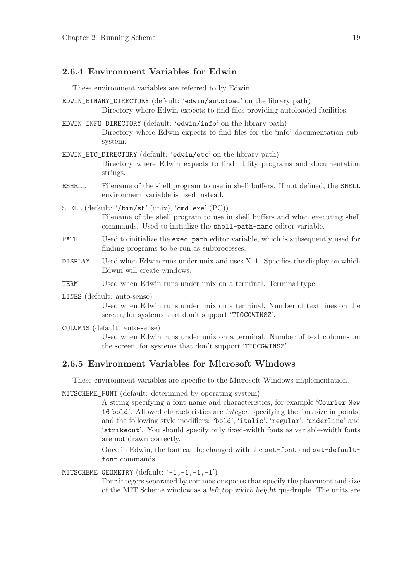## 2.6.4 Environment Variables for Edwin

These environment variables are referred to by Edwin.

- EDWIN\_BINARY\_DIRECTORY (default: 'edwin/autoload' on the library path) Directory where Edwin expects to find files providing autoloaded facilities.
- EDWIN\_INFO\_DIRECTORY (default: 'edwin/info' on the library path) Directory where Edwin expects to find files for the 'info' documentation subsystem.
- EDWIN\_ETC\_DIRECTORY (default: 'edwin/etc' on the library path) Directory where Edwin expects to find utility programs and documentation strings.
- ESHELL Filename of the shell program to use in shell buffers. If not defined, the SHELL environment variable is used instead.

SHELL (default: '/bin/sh' (unix), 'cmd.exe' (PC)) Filename of the shell program to use in shell buffers and when executing shell commands. Used to initialize the shell-path-name editor variable.

- PATH Used to initialize the exec-path editor variable, which is subsequently used for finding programs to be run as subprocesses.
- DISPLAY Used when Edwin runs under unix and uses X11. Specifies the display on which Edwin will create windows.
- TERM Used when Edwin runs under unix on a terminal. Terminal type.
- LINES (default: auto-sense)

Used when Edwin runs under unix on a terminal. Number of text lines on the screen, for systems that don't support 'TIOCGWINSZ'.

COLUMNS (default: auto-sense)

Used when Edwin runs under unix on a terminal. Number of text columns on the screen, for systems that don't support 'TIOCGWINSZ'.

## 2.6.5 Environment Variables for Microsoft Windows

These environment variables are specific to the Microsoft Windows implementation.

MITSCHEME\_FONT (default: determined by operating system)

A string specifying a font name and characteristics, for example 'Courier New 16 bold'. Allowed characteristics are integer, specifying the font size in points, and the following style modifiers: 'bold', 'italic', 'regular', 'underline' and 'strikeout'. You should specify only fixed-width fonts as variable-width fonts are not drawn correctly.

Once in Edwin, the font can be changed with the set-font and set-defaultfont commands.

MITSCHEME\_GEOMETRY (default: '-1,-1,-1,-1')

Four integers separated by commas or spaces that specify the placement and size of the MIT Scheme window as a left,top,width,height quadruple. The units are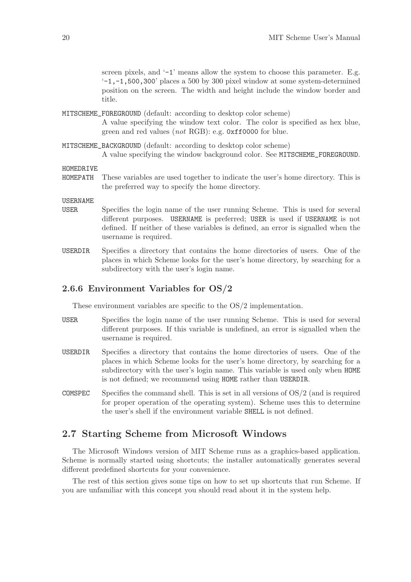screen pixels, and  $-1$  means allow the system to choose this parameter. E.g.  $-1$ ,  $-1$ , 500, 300<sup>'</sup> places a 500 by 300 pixel window at some system-determined position on the screen. The width and height include the window border and title.

MITSCHEME\_FOREGROUND (default: according to desktop color scheme)

A value specifying the window text color. The color is specified as hex blue, green and red values (not RGB): e.g. 0xff0000 for blue.

MITSCHEME\_BACKGROUND (default: according to desktop color scheme)

A value specifying the window background color. See MITSCHEME\_FOREGROUND.

HOMEDRIVE

HOMEPATH These variables are used together to indicate the user's home directory. This is the preferred way to specify the home directory.

USERNAME

- USER Specifies the login name of the user running Scheme. This is used for several different purposes. USERNAME is preferred; USER is used if USERNAME is not defined. If neither of these variables is defined, an error is signalled when the username is required.
- USERDIR Specifies a directory that contains the home directories of users. One of the places in which Scheme looks for the user's home directory, by searching for a subdirectory with the user's login name.

### 2.6.6 Environment Variables for OS/2

These environment variables are specific to the OS/2 implementation.

- USER Specifies the login name of the user running Scheme. This is used for several different purposes. If this variable is undefined, an error is signalled when the username is required.
- USERDIR Specifies a directory that contains the home directories of users. One of the places in which Scheme looks for the user's home directory, by searching for a subdirectory with the user's login name. This variable is used only when HOME is not defined; we recommend using HOME rather than USERDIR.
- COMSPEC Specifies the command shell. This is set in all versions of  $OS/2$  (and is required for proper operation of the operating system). Scheme uses this to determine the user's shell if the environment variable SHELL is not defined.

## 2.7 Starting Scheme from Microsoft Windows

The Microsoft Windows version of MIT Scheme runs as a graphics-based application. Scheme is normally started using shortcuts; the installer automatically generates several different predefined shortcuts for your convenience.

The rest of this section gives some tips on how to set up shortcuts that run Scheme. If you are unfamiliar with this concept you should read about it in the system help.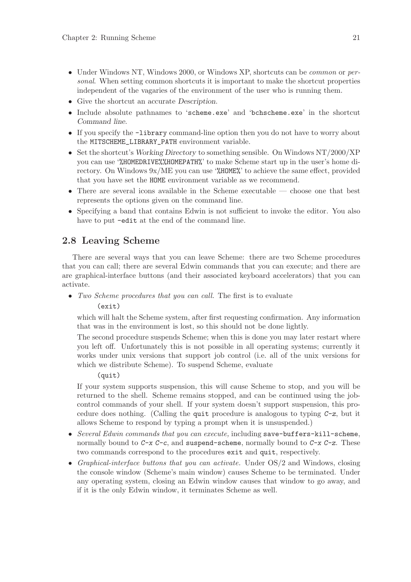- Under Windows NT, Windows 2000, or Windows XP, shortcuts can be *common* or *per*sonal. When setting common shortcuts it is important to make the shortcut properties independent of the vagaries of the environment of the user who is running them.
- Give the shortcut an accurate Description.
- Include absolute pathnames to 'scheme.exe' and 'bchscheme.exe' in the shortcut Command line.
- If you specify the -library command-line option then you do not have to worry about the MITSCHEME\_LIBRARY\_PATH environment variable.
- Set the shortcut's Working Directory to something sensible. On Windows NT/2000/XP you can use '%HOMEDRIVE%%HOMEPATH%' to make Scheme start up in the user's home directory. On Windows 9x/ME you can use '%HOME%' to achieve the same effect, provided that you have set the HOME environment variable as we recommend.
- There are several icons available in the Scheme executable choose one that best represents the options given on the command line.
- Specifying a band that contains Edwin is not sufficient to invoke the editor. You also have to put  $-\text{edit}$  at the end of the command line.

## 2.8 Leaving Scheme

There are several ways that you can leave Scheme: there are two Scheme procedures that you can call; there are several Edwin commands that you can execute; and there are are graphical-interface buttons (and their associated keyboard accelerators) that you can activate.

• Two Scheme procedures that you can call. The first is to evaluate

#### (exit)

which will halt the Scheme system, after first requesting confirmation. Any information that was in the environment is lost, so this should not be done lightly.

The second procedure suspends Scheme; when this is done you may later restart where you left off. Unfortunately this is not possible in all operating systems; currently it works under unix versions that support job control (i.e. all of the unix versions for which we distribute Scheme). To suspend Scheme, evaluate

#### (quit)

If your system supports suspension, this will cause Scheme to stop, and you will be returned to the shell. Scheme remains stopped, and can be continued using the jobcontrol commands of your shell. If your system doesn't support suspension, this procedure does nothing. (Calling the quit procedure is analogous to typing C-z, but it allows Scheme to respond by typing a prompt when it is unsuspended.)

- Several Edwin commands that you can execute, including save-buffers-kill-scheme, normally bound to  $C-x$   $C-c$ , and suspend-scheme, normally bound to  $C-x$   $C-z$ . These two commands correspond to the procedures exit and quit, respectively.
- Graphical-interface buttons that you can activate. Under  $OS/2$  and Windows, closing the console window (Scheme's main window) causes Scheme to be terminated. Under any operating system, closing an Edwin window causes that window to go away, and if it is the only Edwin window, it terminates Scheme as well.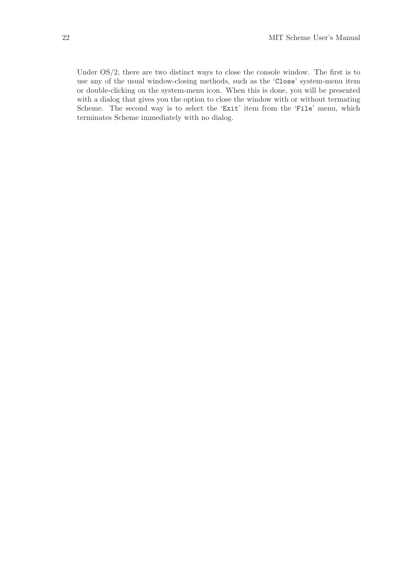Under OS/2, there are two distinct ways to close the console window. The first is to use any of the usual window-closing methods, such as the 'Close' system-menu item or double-clicking on the system-menu icon. When this is done, you will be presented with a dialog that gives you the option to close the window with or without termating Scheme. The second way is to select the 'Exit' item from the 'File' menu, which terminates Scheme immediately with no dialog.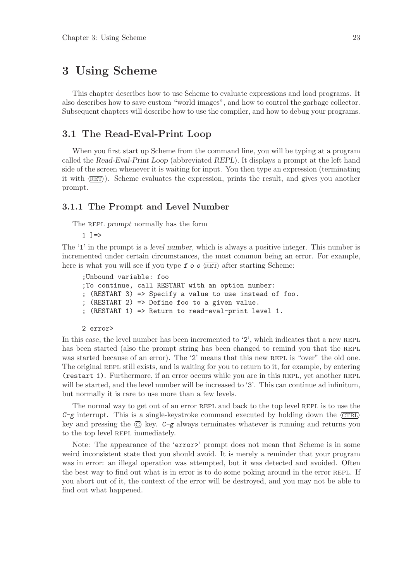## 3 Using Scheme

This chapter describes how to use Scheme to evaluate expressions and load programs. It also describes how to save custom "world images", and how to control the garbage collector. Subsequent chapters will describe how to use the compiler, and how to debug your programs.

## 3.1 The Read-Eval-Print Loop

When you first start up Scheme from the command line, you will be typing at a program called the Read-Eval-Print Loop (abbreviated REPL). It displays a prompt at the left hand side of the screen whenever it is waiting for input. You then type an expression (terminating it with  $\langle \overline{\text{RET}} \rangle$ . Scheme evaluates the expression, prints the result, and gives you another prompt.

### 3.1.1 The Prompt and Level Number

The REPL prompt normally has the form

 $1$  ] =>

The '1' in the prompt is a level number, which is always a positive integer. This number is incremented under certain circumstances, the most common being an error. For example, here is what you will see if you type  $f \circ \circ \langle \overline{\text{RET}} \rangle$  after starting Scheme:

```
;Unbound variable: foo
;To continue, call RESTART with an option number:
; (RESTART 3) => Specify a value to use instead of foo.
; (RESTART 2) => Define foo to a given value.
; (RESTART 1) => Return to read-eval-print level 1.
```
#### 2 error>

In this case, the level number has been incremented to '2', which indicates that a new REPL has been started (also the prompt string has been changed to remind you that the REPL was started because of an error). The '2' means that this new REPL is "over" the old one. The original REPL still exists, and is waiting for you to return to it, for example, by entering (restart 1). Furthermore, if an error occurs while you are in this repl, yet another repl will be started, and the level number will be increased to '3'. This can continue ad infinitum, but normally it is rare to use more than a few levels.

The normal way to get out of an error REPL and back to the top level REPL is to use the  $C-g$  interrupt. This is a single-keystroke command executed by holding down the  $\langle \overline{\text{CTR}} \rangle$ key and pressing the  $\langle \overline{G} \rangle$  key.  $C-g$  always terminates whatever is running and returns you to the top level REPL immediately.

Note: The appearance of the 'error>' prompt does not mean that Scheme is in some weird inconsistent state that you should avoid. It is merely a reminder that your program was in error: an illegal operation was attempted, but it was detected and avoided. Often the best way to find out what is in error is to do some poking around in the error repl. If you abort out of it, the context of the error will be destroyed, and you may not be able to find out what happened.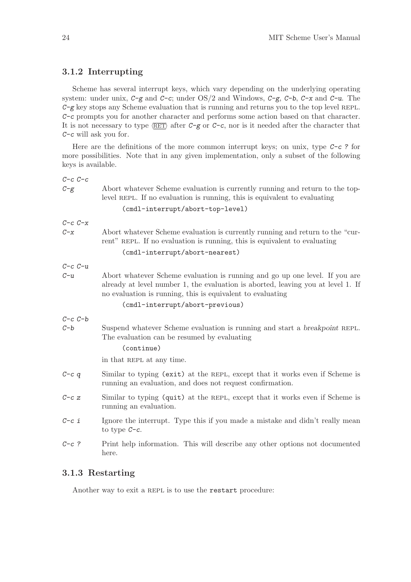## 3.1.2 Interrupting

Scheme has several interrupt keys, which vary depending on the underlying operating system: under unix,  $C-g$  and  $C-c$ ; under  $OS/2$  and Windows,  $C-g$ ,  $C-b$ ,  $C-x$  and  $C-u$ . The  $C-g$  key stops any Scheme evaluation that is running and returns you to the top level REPL. C-c prompts you for another character and performs some action based on that character. It is not necessary to type  $\langle \overline{\text{RET}} \rangle$  after C-g or C-c, nor is it needed after the character that C-c will ask you for.

Here are the definitions of the more common interrupt keys; on unix, type  $C-c$ ? for more possibilities. Note that in any given implementation, only a subset of the following keys is available.

| $C-c$ $C-c$ |                                                                                                                                                                                                                               |  |
|-------------|-------------------------------------------------------------------------------------------------------------------------------------------------------------------------------------------------------------------------------|--|
| $C-g$       | Abort whatever Scheme evaluation is currently running and return to the top-<br>level REPL. If no evaluation is running, this is equivalent to evaluating                                                                     |  |
|             | (cmdl-interrupt/abort-top-level)                                                                                                                                                                                              |  |
| $C-c$ $C-x$ |                                                                                                                                                                                                                               |  |
| $C - x$     | Abort whatever Scheme evaluation is currently running and return to the "cur-<br>rent" REPL. If no evaluation is running, this is equivalent to evaluating                                                                    |  |
|             | (cmdl-interrupt/abort-nearest)                                                                                                                                                                                                |  |
| $C-c$ $C-u$ |                                                                                                                                                                                                                               |  |
| $C-u$       | Abort whatever Scheme evaluation is running and go up one level. If you are<br>already at level number 1, the evaluation is aborted, leaving you at level 1. If<br>no evaluation is running, this is equivalent to evaluating |  |
|             | (cmdl-interrupt/abort-previous)                                                                                                                                                                                               |  |
| $C-c$ $C-b$ |                                                                                                                                                                                                                               |  |
| $C - b$     | Suspend whatever Scheme evaluation is running and start a breakpoint REPL.<br>The evaluation can be resumed by evaluating                                                                                                     |  |
|             | (continue)                                                                                                                                                                                                                    |  |
|             | in that REPL at any time.                                                                                                                                                                                                     |  |
| $C-cq$      | Similar to typing (exit) at the REPL, except that it works even if Scheme is<br>running an evaluation, and does not request confirmation.                                                                                     |  |
| $C-c \, z$  | Similar to typing (quit) at the REPL, except that it works even if Scheme is<br>running an evaluation.                                                                                                                        |  |
| $C-c$ i     | Ignore the interrupt. Type this if you made a mistake and didn't really mean<br>to type $C-c$ .                                                                                                                               |  |
| $C-c$ ?     | Print help information. This will describe any other options not documented<br>here.                                                                                                                                          |  |

## 3.1.3 Restarting

Another way to exit a REPL is to use the restart procedure: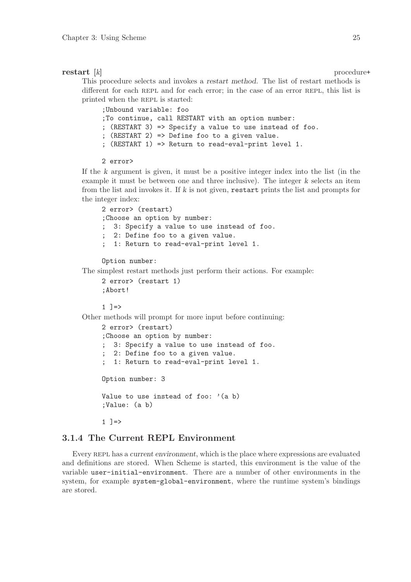#### restart [k] procedure+

This procedure selects and invokes a restart method. The list of restart methods is different for each REPL and for each error; in the case of an error REPL, this list is printed when the REPL is started:

;Unbound variable: foo ;To continue, call RESTART with an option number: ; (RESTART 3) => Specify a value to use instead of foo. ; (RESTART 2) => Define foo to a given value. ; (RESTART 1) => Return to read-eval-print level 1.

2 error>

If the k argument is given, it must be a positive integer index into the list (in the example it must be between one and three inclusive). The integer k selects an item from the list and invokes it. If  $k$  is not given, restart prints the list and prompts for the integer index:

```
2 error> (restart)
;Choose an option by number:
; 3: Specify a value to use instead of foo.
; 2: Define foo to a given value.
  ; 1: Return to read-eval-print level 1.
```
Option number:

The simplest restart methods just perform their actions. For example:

```
2 error> (restart 1)
;Abort!
```
 $1 \ \nexists \Rightarrow$ 

Other methods will prompt for more input before continuing:

```
2 error> (restart)
;Choose an option by number:
; 3: Specify a value to use instead of foo.
  2: Define foo to a given value.
   ; 1: Return to read-eval-print level 1.
Option number: 3
Value to use instead of foo: '(a b)
;Value: (a b)
1 ] = >
```
## 3.1.4 The Current REPL Environment

Every REPL has a current environment, which is the place where expressions are evaluated and definitions are stored. When Scheme is started, this environment is the value of the variable user-initial-environment. There are a number of other environments in the system, for example system-global-environment, where the runtime system's bindings are stored.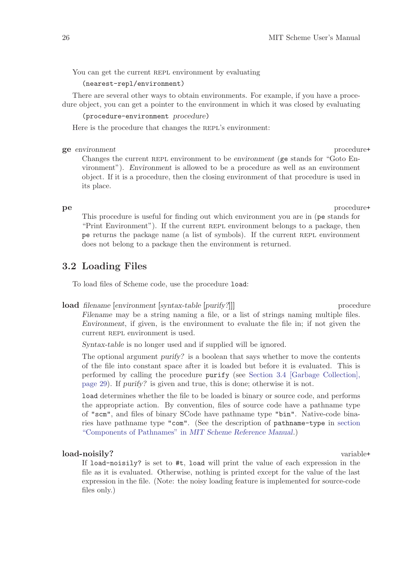You can get the current REPL environment by evaluating

(nearest-repl/environment)

There are several other ways to obtain environments. For example, if you have a procedure object, you can get a pointer to the environment in which it was closed by evaluating

(procedure-environment procedure)

Here is the procedure that changes the REPL's environment:

#### ge environment procedure+

Changes the current REPL environment to be environment (ge stands for "Goto Environment"). Environment is allowed to be a procedure as well as an environment object. If it is a procedure, then the closing environment of that procedure is used in its place.

pe procedure+

This procedure is useful for finding out which environment you are in (pe stands for "Print Environment"). If the current REPL environment belongs to a package, then pe returns the package name (a list of symbols). If the current repl environment does not belong to a package then the environment is returned.

## 3.2 Loading Files

To load files of Scheme code, use the procedure load:

#### **load** filename [environment [syntax-table [purify?]]] procedure

Filename may be a string naming a file, or a list of strings naming multiple files. Environment, if given, is the environment to evaluate the file in; if not given the current REPL environment is used.

Syntax-table is no longer used and if supplied will be ignored.

The optional argument purify? is a boolean that says whether to move the contents of the file into constant space after it is loaded but before it is evaluated. This is performed by calling the procedure purify (see [Section 3.4 \[Garbage Collection\],](#page-30-0) [page 29](#page-30-0)). If purify? is given and true, this is done; otherwise it is not.

load determines whether the file to be loaded is binary or source code, and performs the appropriate action. By convention, files of source code have a pathname type of "scm", and files of binary SCode have pathname type "bin". Native-code binaries have pathname type "com". (See the description of pathname-type in section "Components of Pathnames" in MIT Scheme Reference Manual.)

#### load-noisily? variable+

If load-noisily? is set to #t, load will print the value of each expression in the file as it is evaluated. Otherwise, nothing is printed except for the value of the last expression in the file. (Note: the noisy loading feature is implemented for source-code files only.)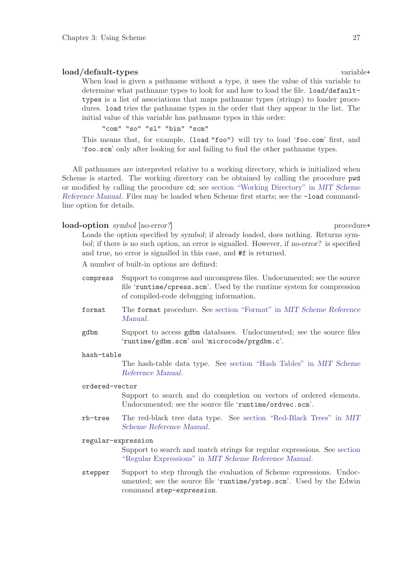### load/default-types variable+

When load is given a pathname without a type, it uses the value of this variable to determine what pathname types to look for and how to load the file. load/defaulttypes is a list of associations that maps pathname types (strings) to loader procedures. load tries the pathname types in the order that they appear in the list. The initial value of this variable has pathname types in this order:

"com" "so" "sl" "bin" "scm"

This means that, for example, (load "foo") will try to load 'foo.com' first, and 'foo.scm' only after looking for and failing to find the other pathname types.

All pathnames are interpreted relative to a working directory, which is initialized when Scheme is started. The working directory can be obtained by calling the procedure pwd or modified by calling the procedure cd; see section "Working Directory" in MIT Scheme Reference Manual. Files may be loaded when Scheme first starts; see the -load commandline option for details.

#### load-option symbol [no-error?] procedure+

Loads the option specified by symbol; if already loaded, does nothing. Returns symbol; if there is no such option, an error is signalled. However, if no-error? is specified and true, no error is signalled in this case, and #f is returned.

A number of built-in options are defined:

- compress Support to compress and uncompress files. Undocumented; see the source file 'runtime/cpress.scm'. Used by the runtime system for compression of compiled-code debugging information.
- format The format procedure. See section "Format" in MIT Scheme Reference Manual.
- gdbm Support to access gdbm databases. Undocumented; see the source files 'runtime/gdbm.scm' and 'microcode/prgdbm.c'.

#### hash-table

The hash-table data type. See section "Hash Tables" in MIT Scheme Reference Manual.

#### ordered-vector

Support to search and do completion on vectors of ordered elements. Undocumented; see the source file 'runtime/ordvec.scm'.

rb-tree The red-black tree data type. See section "Red-Black Trees" in MIT Scheme Reference Manual.

#### regular-expression

Support to search and match strings for regular expressions. See section "Regular Expressions" in MIT Scheme Reference Manual.

stepper Support to step through the evaluation of Scheme expressions. Undocumented; see the source file 'runtime/ystep.scm'. Used by the Edwin command step-expression.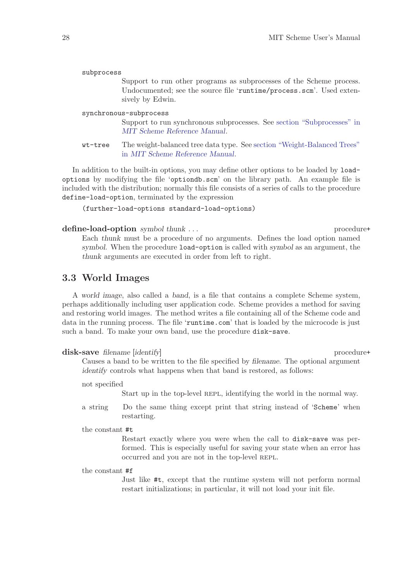| subprocess             |                                                                                                                                                                  |  |
|------------------------|------------------------------------------------------------------------------------------------------------------------------------------------------------------|--|
|                        | Support to run other programs as subprocesses of the Scheme process.<br>Undocumented; see the source file 'runtime/process.scm'. Used exten-<br>sively by Edwin. |  |
| synchronous-subprocess |                                                                                                                                                                  |  |
|                        | Support to run synchronous subprocesses. See section "Subprocesses" in<br>MIT Scheme Reference Manual.                                                           |  |
| wt-tree                | The weight-balanced tree data type. See section "Weight-Balanced Trees"<br>in MIT Scheme Reference Manual.                                                       |  |

In addition to the built-in options, you may define other options to be loaded by loadoptions by modifying the file 'optiondb.scm' on the library path. An example file is included with the distribution; normally this file consists of a series of calls to the procedure define-load-option, terminated by the expression

(further-load-options standard-load-options)

#### define-load-option symbol thunk . . . procedure+

Each thunk must be a procedure of no arguments. Defines the load option named symbol. When the procedure load-option is called with symbol as an argument, the thunk arguments are executed in order from left to right.

## 3.3 World Images

<span id="page-29-0"></span>A world image, also called a band, is a file that contains a complete Scheme system, perhaps additionally including user application code. Scheme provides a method for saving and restoring world images. The method writes a file containing all of the Scheme code and data in the running process. The file 'runtime.com' that is loaded by the microcode is just such a band. To make your own band, use the procedure disk-save.

#### disk-save filename [identify] procedure+

Causes a band to be written to the file specified by filename. The optional argument identify controls what happens when that band is restored, as follows:

not specified

Start up in the top-level REPL, identifying the world in the normal way.

a string Do the same thing except print that string instead of 'Scheme' when restarting.

#### the constant #t

Restart exactly where you were when the call to disk-save was performed. This is especially useful for saving your state when an error has occurred and you are not in the top-level REPL.

### the constant #f

Just like #t, except that the runtime system will not perform normal restart initializations; in particular, it will not load your init file.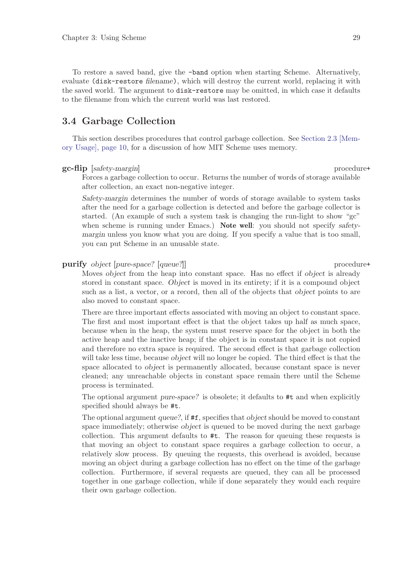To restore a saved band, give the -band option when starting Scheme. Alternatively, evaluate (disk-restore filename), which will destroy the current world, replacing it with the saved world. The argument to disk-restore may be omitted, in which case it defaults to the filename from which the current world was last restored.

## 3.4 Garbage Collection

<span id="page-30-0"></span>This section describes procedures that control garbage collection. See [Section 2.3 \[Mem](#page-11-0)[ory Usage\], page 10](#page-11-0), for a discussion of how MIT Scheme uses memory.

#### gc-flip [safety-margin] procedure+

Forces a garbage collection to occur. Returns the number of words of storage available after collection, an exact non-negative integer.

Safety-margin determines the number of words of storage available to system tasks after the need for a garbage collection is detected and before the garbage collector is started. (An example of such a system task is changing the run-light to show "gc" when scheme is running under Emacs.) Note well: you should not specify safetymargin unless you know what you are doing. If you specify a value that is too small, you can put Scheme in an unusable state.

purify object [pure-space? [queue?]] procedure+

Moves *object* from the heap into constant space. Has no effect if *object* is already stored in constant space. Object is moved in its entirety; if it is a compound object such as a list, a vector, or a record, then all of the objects that *object* points to are also moved to constant space.

There are three important effects associated with moving an object to constant space. The first and most important effect is that the object takes up half as much space, because when in the heap, the system must reserve space for the object in both the active heap and the inactive heap; if the object is in constant space it is not copied and therefore no extra space is required. The second effect is that garbage collection will take less time, because *object* will no longer be copied. The third effect is that the space allocated to object is permanently allocated, because constant space is never cleaned; any unreachable objects in constant space remain there until the Scheme process is terminated.

The optional argument pure-space? is obsolete; it defaults to #t and when explicitly specified should always be #t.

The optional argument queue?, if  $#f$ , specifies that *object* should be moved to constant space immediately; otherwise object is queued to be moved during the next garbage collection. This argument defaults to #t. The reason for queuing these requests is that moving an object to constant space requires a garbage collection to occur, a relatively slow process. By queuing the requests, this overhead is avoided, because moving an object during a garbage collection has no effect on the time of the garbage collection. Furthermore, if several requests are queued, they can all be processed together in one garbage collection, while if done separately they would each require their own garbage collection.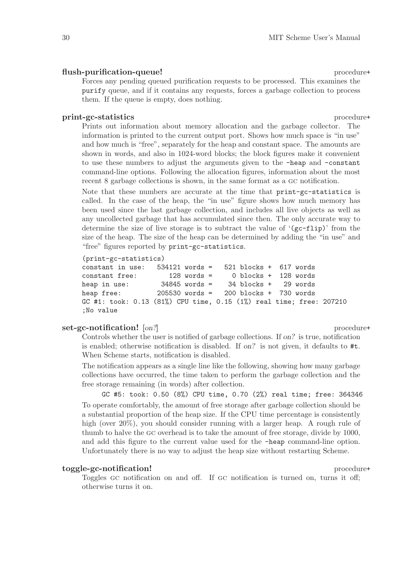#### flush-purification-queue! procedure+

Forces any pending queued purification requests to be processed. This examines the purify queue, and if it contains any requests, forces a garbage collection to process them. If the queue is empty, does nothing.

#### print-gc-statistics procedure+

Prints out information about memory allocation and the garbage collector. The information is printed to the current output port. Shows how much space is "in use" and how much is "free", separately for the heap and constant space. The amounts are shown in words, and also in 1024-word blocks; the block figures make it convenient to use these numbers to adjust the arguments given to the -heap and -constant command-line options. Following the allocation figures, information about the most recent 8 garbage collections is shown, in the same format as a gc notification.

Note that these numbers are accurate at the time that print-gc-statistics is called. In the case of the heap, the "in use" figure shows how much memory has been used since the last garbage collection, and includes all live objects as well as any uncollected garbage that has accumulated since then. The only accurate way to determine the size of live storage is to subtract the value of  $(gc-flip)'$  from the size of the heap. The size of the heap can be determined by adding the "in use" and "free" figures reported by print-gc-statistics.

```
(print-gc-statistics)
```

```
constant in use: 534121 words = 521 blocks + 617 words
constant free: 128 words = 0 blocks + 128 words
heap in use: 34845 words = 34 blocks + 29 words
heap free: 205530 words = 200 blocks + 730 words
GC #1: took: 0.13 (81%) CPU time, 0.15 (1%) real time; free: 207210
;No value
```
#### set-gc-notification! [on?] procedure+

Controls whether the user is notified of garbage collections. If on? is true, notification is enabled; otherwise notification is disabled. If on? is not given, it defaults to #t. When Scheme starts, notification is disabled.

The notification appears as a single line like the following, showing how many garbage collections have occurred, the time taken to perform the garbage collection and the free storage remaining (in words) after collection.

GC #5: took: 0.50 (8%) CPU time, 0.70 (2%) real time; free: 364346 To operate comfortably, the amount of free storage after garbage collection should be a substantial proportion of the heap size. If the CPU time percentage is consistently high (over 20%), you should consider running with a larger heap. A rough rule of thumb to halve the gc overhead is to take the amount of free storage, divide by 1000, and add this figure to the current value used for the -heap command-line option. Unfortunately there is no way to adjust the heap size without restarting Scheme.

### toggle-gc-notification! procedure+

Toggles gc notification on and off. If gc notification is turned on, turns it off; otherwise turns it on.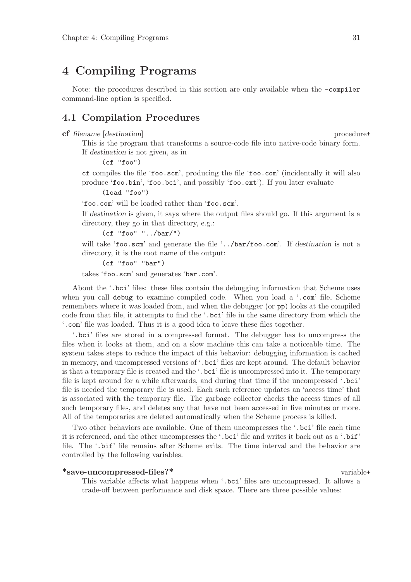## 4 Compiling Programs

Note: the procedures described in this section are only available when the -compiler command-line option is specified.

## 4.1 Compilation Procedures

cf filename [destination] procedure+

This is the program that transforms a source-code file into native-code binary form. If destination is not given, as in

(cf "foo")

cf compiles the file 'foo.scm', producing the file 'foo.com' (incidentally it will also produce 'foo.bin', 'foo.bci', and possibly 'foo.ext'). If you later evaluate

(load "foo")

'foo.com' will be loaded rather than 'foo.scm'.

If destination is given, it says where the output files should go. If this argument is a directory, they go in that directory, e.g.:

(cf "foo" "../bar/")

will take 'foo.scm' and generate the file '../bar/foo.com'. If destination is not a directory, it is the root name of the output:

(cf "foo" "bar")

takes 'foo.scm' and generates 'bar.com'.

About the '.bci' files: these files contain the debugging information that Scheme uses when you call debug to examine compiled code. When you load a '.com' file, Scheme remembers where it was loaded from, and when the debugger (or pp) looks at the compiled code from that file, it attempts to find the '.bci' file in the same directory from which the '.com' file was loaded. Thus it is a good idea to leave these files together.

'.bci' files are stored in a compressed format. The debugger has to uncompress the files when it looks at them, and on a slow machine this can take a noticeable time. The system takes steps to reduce the impact of this behavior: debugging information is cached in memory, and uncompressed versions of '.bci' files are kept around. The default behavior is that a temporary file is created and the '.bci' file is uncompressed into it. The temporary file is kept around for a while afterwards, and during that time if the uncompressed '.bci' file is needed the temporary file is used. Each such reference updates an 'access time' that is associated with the temporary file. The garbage collector checks the access times of all such temporary files, and deletes any that have not been accessed in five minutes or more. All of the temporaries are deleted automatically when the Scheme process is killed.

Two other behaviors are available. One of them uncompresses the '.bci' file each time it is referenced, and the other uncompresses the '.bci' file and writes it back out as a '.bif' file. The '.bif' file remains after Scheme exits. The time interval and the behavior are controlled by the following variables.

#### \*save-uncompressed-files?\* variable+

This variable affects what happens when '.bci' files are uncompressed. It allows a trade-off between performance and disk space. There are three possible values: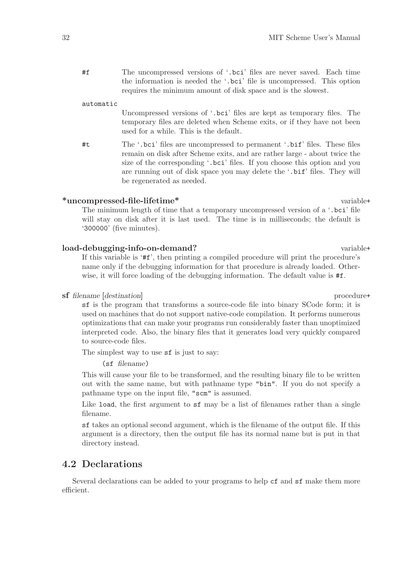#f The uncompressed versions of '.bci' files are never saved. Each time the information is needed the '.bci' file is uncompressed. This option requires the minimum amount of disk space and is the slowest.

#### automatic

Uncompressed versions of '.bci' files are kept as temporary files. The temporary files are deleted when Scheme exits, or if they have not been used for a while. This is the default.

#t The '.bci' files are uncompressed to permanent '.bif' files. These files remain on disk after Scheme exits, and are rather large - about twice the size of the corresponding '.bci' files. If you choose this option and you are running out of disk space you may delete the '.bif' files. They will be regenerated as needed.

#### \*uncompressed-file-lifetime\* variable+

The minimum length of time that a temporary uncompressed version of a '.bci' file will stay on disk after it is last used. The time is in milliseconds; the default is '300000' (five minutes).

#### load-debugging-info-on-demand? variable+

If this variable is '#f', then printing a compiled procedure will print the procedure's name only if the debugging information for that procedure is already loaded. Otherwise, it will force loading of the debugging information. The default value is  $\#f$ .

#### sf filename [destination] procedure+

sf is the program that transforms a source-code file into binary SCode form; it is used on machines that do not support native-code compilation. It performs numerous optimizations that can make your programs run considerably faster than unoptimized interpreted code. Also, the binary files that it generates load very quickly compared to source-code files.

The simplest way to use  $sf$  is just to say:

(sf filename)

This will cause your file to be transformed, and the resulting binary file to be written out with the same name, but with pathname type "bin". If you do not specify a pathname type on the input file, "scm" is assumed.

Like load, the first argument to sf may be a list of filenames rather than a single filename.

sf takes an optional second argument, which is the filename of the output file. If this argument is a directory, then the output file has its normal name but is put in that directory instead.

## 4.2 Declarations

Several declarations can be added to your programs to help cf and sf make them more efficient.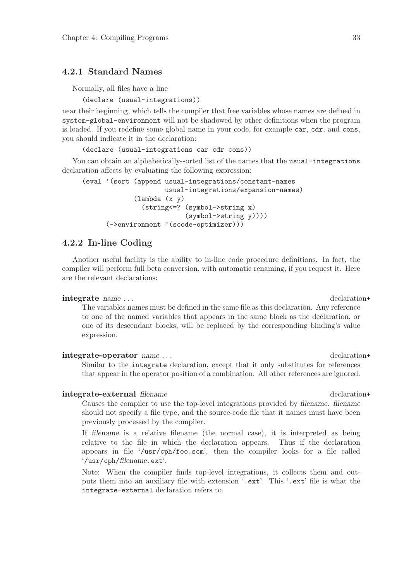## 4.2.1 Standard Names

Normally, all files have a line

(declare (usual-integrations))

near their beginning, which tells the compiler that free variables whose names are defined in system-global-environment will not be shadowed by other definitions when the program is loaded. If you redefine some global name in your code, for example car, cdr, and cons, you should indicate it in the declaration:

(declare (usual-integrations car cdr cons))

You can obtain an alphabetically-sorted list of the names that the usual-integrations declaration affects by evaluating the following expression:

```
(eval '(sort (append usual-integrations/constant-names
                     usual-integrations/expansion-names)
             (lambda (x y)
               (string<=? (symbol->string x)
                          (symbol->string y))))
      (->environment '(scode-optimizer)))
```
## 4.2.2 In-line Coding

Another useful facility is the ability to in-line code procedure definitions. In fact, the compiler will perform full beta conversion, with automatic renaming, if you request it. Here are the relevant declarations:

#### integrate name ...  $\qquad \qquad$  declaration+

The variables names must be defined in the same file as this declaration. Any reference to one of the named variables that appears in the same block as the declaration, or one of its descendant blocks, will be replaced by the corresponding binding's value expression.

#### integrate-operator name ... declaration+

Similar to the integrate declaration, except that it only substitutes for references that appear in the operator position of a combination. All other references are ignored.

#### integrate-external filename declaration+

Causes the compiler to use the top-level integrations provided by filename. filename should not specify a file type, and the source-code file that it names must have been previously processed by the compiler.

If filename is a relative filename (the normal case), it is interpreted as being relative to the file in which the declaration appears. Thus if the declaration appears in file '/usr/cph/foo.scm', then the compiler looks for a file called '/usr/cph/filename.ext'.

Note: When the compiler finds top-level integrations, it collects them and outputs them into an auxiliary file with extension '.ext'. This '.ext' file is what the integrate-external declaration refers to.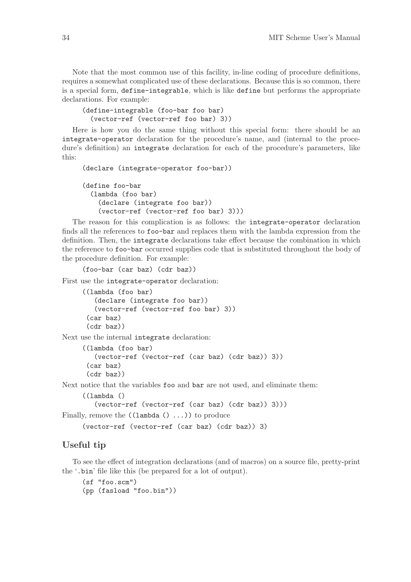Note that the most common use of this facility, in-line coding of procedure definitions, requires a somewhat complicated use of these declarations. Because this is so common, there is a special form, define-integrable, which is like define but performs the appropriate declarations. For example:

```
(define-integrable (foo-bar foo bar)
  (vector-ref (vector-ref foo bar) 3))
```
Here is how you do the same thing without this special form: there should be an integrate-operator declaration for the procedure's name, and (internal to the procedure's definition) an integrate declaration for each of the procedure's parameters, like this:

```
(declare (integrate-operator foo-bar))
(define foo-bar
  (lambda (foo bar)
    (declare (integrate foo bar))
    (vector-ref (vector-ref foo bar) 3)))
```
The reason for this complication is as follows: the integrate-operator declaration finds all the references to foo-bar and replaces them with the lambda expression from the definition. Then, the integrate declarations take effect because the combination in which the reference to foo-bar occurred supplies code that is substituted throughout the body of the procedure definition. For example:

(foo-bar (car baz) (cdr baz))

First use the integrate-operator declaration:

```
((lambda (foo bar)
   (declare (integrate foo bar))
   (vector-ref (vector-ref foo bar) 3))
 (car baz)
 (cdr baz))
```
Next use the internal integrate declaration:

```
((lambda (foo bar)
   (vector-ref (vector-ref (car baz) (cdr baz)) 3))
 (car baz)
 (cdr baz))
```
Next notice that the variables foo and bar are not used, and eliminate them:

```
((lambda ()
         (vector-ref (vector-ref (car baz) (cdr baz)) 3)))
Finally, remove the ((\text{lambda}(), \ldots)) to produce
```

```
(vector-ref (vector-ref (car baz) (cdr baz)) 3)
```
## Useful tip

To see the effect of integration declarations (and of macros) on a source file, pretty-print the '.bin' file like this (be prepared for a lot of output).

(sf "foo.scm") (pp (fasload "foo.bin"))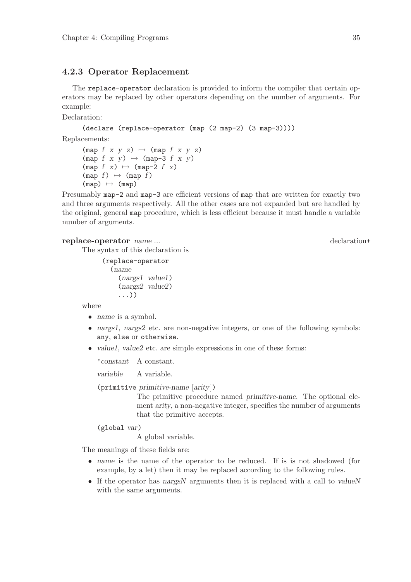### 4.2.3 Operator Replacement

The replace-operator declaration is provided to inform the compiler that certain operators may be replaced by other operators depending on the number of arguments. For example:

Declaration:

```
(declare (replace-operator (map (2 map-2) (3 map-3))))
```
Replacements:

```
(\text{map } f \times y \times z) \mapsto (\text{map } f \times y \times z)(\text{map } f \times y) \mapsto (\text{map-3 } f \times y)(\text{map } f \ x) \mapsto (\text{map-2 } f \ x)(\text{map } f) \mapsto (\text{map } f)(map) \mapsto (map)
```
Presumably map-2 and map-3 are efficient versions of map that are written for exactly two and three arguments respectively. All the other cases are not expanded but are handled by the original, general map procedure, which is less efficient because it must handle a variable number of arguments.

#### replace-operator name ... declaration+

The syntax of this declaration is

```
(replace-operator
  (name
    (nargs1 value1)
    (nargs2 value2)
    ...))
```
where

- *name* is a symbol.
- nargs1, nargs2 etc. are non-negative integers, or one of the following symbols: any, else or otherwise.
- value1, value2 etc. are simple expressions in one of these forms:

'constant A constant.

variable A variable.

(primitive primitive-name [arity])

The primitive procedure named primitive-name. The optional element arity, a non-negative integer, specifies the number of arguments that the primitive accepts.

(global var)

A global variable.

The meanings of these fields are:

- name is the name of the operator to be reduced. If is is not shadowed (for example, by a let) then it may be replaced according to the following rules.
- If the operator has nargsN arguments then it is replaced with a call to valueN with the same arguments.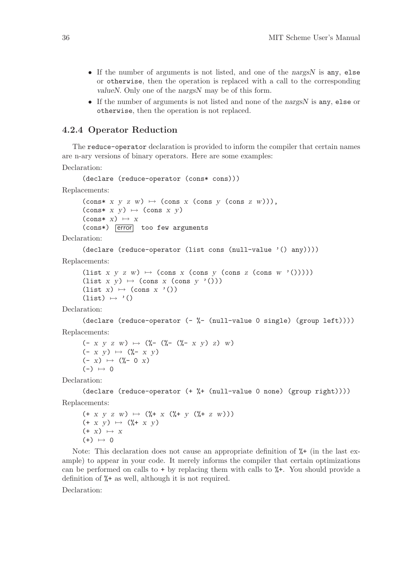- If the number of arguments is not listed, and one of the nargsN is any, else or otherwise, then the operation is replaced with a call to the corresponding valueN. Only one of the nargsN may be of this form.
- If the number of arguments is not listed and none of the nargsN is any, else or otherwise, then the operation is not replaced.

### 4.2.4 Operator Reduction

The reduce-operator declaration is provided to inform the compiler that certain names are n-ary versions of binary operators. Here are some examples:

Declaration:

```
(declare (reduce-operator (cons* cons)))
Replacements:
       (\text{cons} * x y z w) \mapsto (\text{cons } x (\text{cons } y (\text{cons } z w))),
```
 $(\text{cons} * x y) \mapsto (\text{cons} x y)$  $\text{(cons* } x) \mapsto x$  $(cons*)$  error too few arguments

Declaration:

```
(declare (reduce-operator (list cons (null-value '() any))))
```
Replacements:

```
(list x \ y \ z \ w) \mapsto (cons x (cons y (cons z (cons w'()))))
(list x y) \mapsto (cons x (cons y'()))
(list x) \mapsto (cons x'())
(list) \mapsto '()
```
Declaration:

```
(declare (reduce-operator (- %- (null-value 0 single) (group left))))
Replacements:
```

```
(- x y z w) \mapsto (\sqrt[n]{-} (\sqrt[n]{-} x y) z) w)(- x y) \mapsto (\mathcal{C}_{\mathbf{0}} - x y)(- x) \mapsto (\mathcal{C}_0 - 0 x)(-) \mapsto 0
```
Declaration:

```
(declare (reduce-operator (+ %+ (null-value 0 none) (group right))))
Replacements:
```

```
(+ x y z w) \mapsto (\frac{y}{b} + x (\frac{y}{b} + y (\frac{y}{c} + z w)))(+ x y) \mapsto (\mathcal{U} + x y)(+ x) \mapsto x(+) \mapsto 0
```
Note: This declaration does not cause an appropriate definition of  $\frac{1}{4}$  (in the last example) to appear in your code. It merely informs the compiler that certain optimizations can be performed on calls to  $+$  by replacing them with calls to  $\frac{1}{2}$ . You should provide a definition of %+ as well, although it is not required.

Declaration: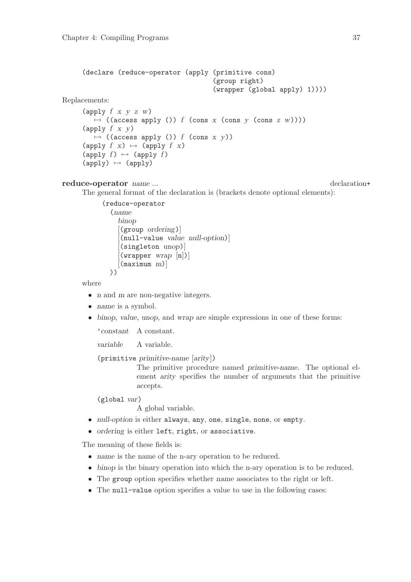```
(declare (reduce-operator (apply (primitive cons)
                                               (group right)
                                               (wrapper (global apply) 1))))
Replacements:
      (apply f \times y \times w)
         \mapsto ((access apply ()) f (cons x (cons y (cons z w))))
      (\text{apply } f \times y)\mapsto ((access apply ()) f (cons x y))
      (apply f(x) \mapsto (apply f(x))(apply f) \mapsto (apply f)
      (\text{apply}) \mapsto (\text{apply})
```

```
reduce-operator name ... but the contract of the contract of the contract of the contract of the contract of the contract of the contract of the contract of the contract of the contract of the contract of the contract o
```
The general format of the declaration is (brackets denote optional elements):

```
(reduce-operator
  (name
     binop
     [(group ordering)]
     [(null-value value null-option)]
     [(singleton unop)]
     \left[\text{( wrapper wrap }[n])\right][(\text{maximum } m)]))
```
where

- *n* and *m* are non-negative integers.
- name is a symbol.
- binop, value, unop, and wrap are simple expressions in one of these forms:

'constant A constant.

variable A variable.

(primitive primitive-name [arity])

The primitive procedure named primitive-name. The optional element arity specifies the number of arguments that the primitive accepts.

(global var)

A global variable.

- null-option is either always, any, one, single, none, or empty.
- ordering is either left, right, or associative.

The meaning of these fields is:

- name is the name of the n-ary operation to be reduced.
- binop is the binary operation into which the n-ary operation is to be reduced.
- The group option specifies whether name associates to the right or left.
- The null-value option specifies a value to use in the following cases: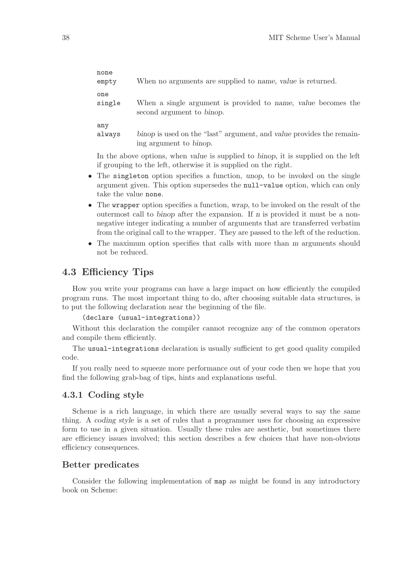| none<br>empty | When no arguments are supplied to name, value is returned.           |
|---------------|----------------------------------------------------------------------|
| one           | When a single argument is provided to name, value becomes the        |
| single        | second argument to binop.                                            |
| any           | binop is used on the "last" argument, and value provides the remain- |
| always        | ing argument to binop.                                               |

In the above options, when value is supplied to binop, it is supplied on the left if grouping to the left, otherwise it is supplied on the right.

- The singleton option specifies a function, unop, to be invoked on the single argument given. This option supersedes the null-value option, which can only take the value none.
- The wrapper option specifies a function, wrap, to be invoked on the result of the outermost call to binop after the expansion. If  $n$  is provided it must be a nonnegative integer indicating a number of arguments that are transferred verbatim from the original call to the wrapper. They are passed to the left of the reduction.
- The maximum option specifies that calls with more than m arguments should not be reduced.

## 4.3 Efficiency Tips

How you write your programs can have a large impact on how efficiently the compiled program runs. The most important thing to do, after choosing suitable data structures, is to put the following declaration near the beginning of the file.

(declare (usual-integrations))

Without this declaration the compiler cannot recognize any of the common operators and compile them efficiently.

The usual-integrations declaration is usually sufficient to get good quality compiled code.

If you really need to squeeze more performance out of your code then we hope that you find the following grab-bag of tips, hints and explanations useful.

### 4.3.1 Coding style

Scheme is a rich language, in which there are usually several ways to say the same thing. A coding style is a set of rules that a programmer uses for choosing an expressive form to use in a given situation. Usually these rules are aesthetic, but sometimes there are efficiency issues involved; this section describes a few choices that have non-obvious efficiency consequences.

## Better predicates

Consider the following implementation of map as might be found in any introductory book on Scheme: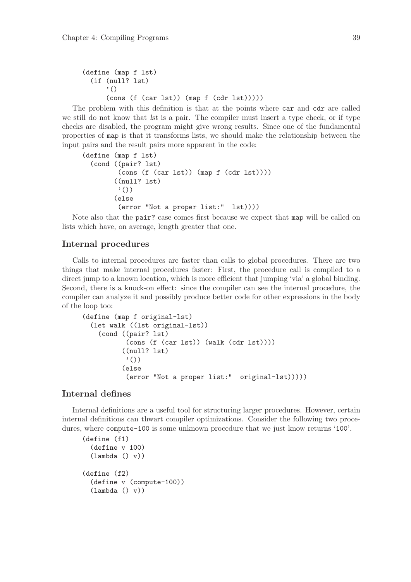```
(define (map f lst)
  (if (null? lst)
      '()
      (cons (f (car lst)) (map f (cdr lst)))))
```
The problem with this definition is that at the points where car and cdr are called we still do not know that lst is a pair. The compiler must insert a type check, or if type checks are disabled, the program might give wrong results. Since one of the fundamental properties of map is that it transforms lists, we should make the relationship between the input pairs and the result pairs more apparent in the code:

```
(define (map f lst)
  (cond ((pair? lst)
         (cons (f (car lst)) (map f (cdr lst))))
        ((null? lst)
         '())
        (else
         (error "Not a proper list:" lst))))
```
Note also that the pair? case comes first because we expect that map will be called on lists which have, on average, length greater that one.

## Internal procedures

Calls to internal procedures are faster than calls to global procedures. There are two things that make internal procedures faster: First, the procedure call is compiled to a direct jump to a known location, which is more efficient that jumping 'via' a global binding. Second, there is a knock-on effect: since the compiler can see the internal procedure, the compiler can analyze it and possibly produce better code for other expressions in the body of the loop too:

```
(define (map f original-lst)
  (let walk ((lst original-lst))
    (cond ((pair? lst)
           (cons (f (car lst)) (walk (cdr lst))))
          ((null? lst)
           '())
          (else
           (error "Not a proper list:" original-lst)))))
```
### Internal defines

Internal definitions are a useful tool for structuring larger procedures. However, certain internal definitions can thwart compiler optimizations. Consider the following two procedures, where compute-100 is some unknown procedure that we just know returns '100'.

```
(define (f1)
  (define v 100)
  (\text{lambda} () v)(define (f2)
  (define v (compute-100))
  (lambda () v)
```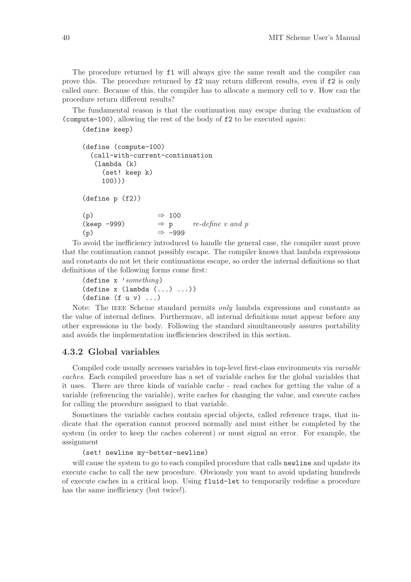The procedure returned by f1 will always give the same result and the compiler can prove this. The procedure returned by f2 may return different results, even if f2 is only called once. Because of this, the compiler has to allocate a memory cell to v. How can the procedure return different results?

The fundamental reason is that the continuation may escape during the evaluation of (compute-100), allowing the rest of the body of f2 to be executed again:

(define keep)

```
(define (compute-100)
  (call-with-current-continuation
   (lambda (k)
      (set! keep k)
     100)))
(define p (f2))
(p) \Rightarrow 100<br>(keep -999) \Rightarrow p
(keep -999) \Rightarrow p re\text{-}define \ v \ and \ p(p) \Rightarrow -999
```
To avoid the inefficiency introduced to handle the general case, the compiler must prove that the continuation cannot possibly escape. The compiler knows that lambda expressions and constants do not let their continuations escape, so order the internal definitions so that definitions of the following forms come first:

```
(define x 'something)
(\text{define } x \text{ (lambda } (\dots) \dots))(detine (f u v) ...)
```
Note: The IEEE Scheme standard permits *only* lambda expressions and constants as the value of internal defines. Furthermore, all internal definitions must appear before any other expressions in the body. Following the standard simultaneously assures portability and avoids the implementation inefficiencies described in this section.

### 4.3.2 Global variables

Compiled code usually accesses variables in top-level first-class environments via variable caches. Each compiled procedure has a set of variable caches for the global variables that it uses. There are three kinds of variable cache - read caches for getting the value of a variable (referencing the variable), write caches for changing the value, and execute caches for calling the procedure assigned to that variable.

Sometimes the variable caches contain special objects, called reference traps, that indicate that the operation cannot proceed normally and must either be completed by the system (in order to keep the caches coherent) or must signal an error. For example, the assignment

(set! newline my-better-newline)

will cause the system to go to each compiled procedure that calls **newline** and update its execute cache to call the new procedure. Obviously you want to avoid updating hundreds of execute caches in a critical loop. Using fluid-let to temporarily redefine a procedure has the same inefficiency (but twice!).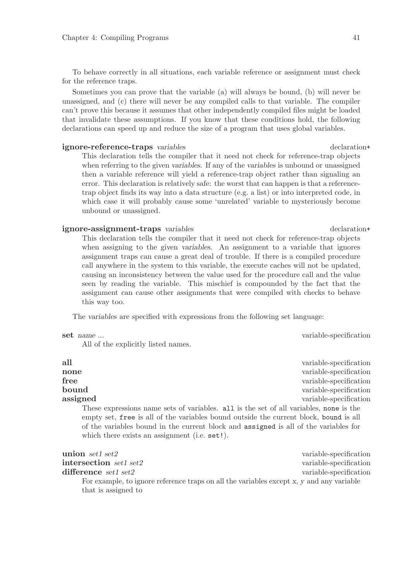To behave correctly in all situations, each variable reference or assignment must check for the reference traps.

Sometimes you can prove that the variable (a) will always be bound, (b) will never be unassigned, and (c) there will never be any compiled calls to that variable. The compiler can't prove this because it assumes that other independently compiled files might be loaded that invalidate these assumptions. If you know that these conditions hold, the following declarations can speed up and reduce the size of a program that uses global variables.

#### ignore-reference-traps variables declaration+

This declaration tells the compiler that it need not check for reference-trap objects when referring to the given variables. If any of the variables is unbound or unassigned then a variable reference will yield a reference-trap object rather than signaling an error. This declaration is relatively safe: the worst that can happen is that a referencetrap object finds its way into a data structure (e.g. a list) or into interpreted code, in which case it will probably cause some 'unrelated' variable to mysteriously become unbound or unassigned.

#### ignore-assignment-traps variables declaration declaration+

This declaration tells the compiler that it need not check for reference-trap objects when assigning to the given variables. An assignment to a variable that ignores assignment traps can cause a great deal of trouble. If there is a compiled procedure call anywhere in the system to this variable, the execute caches will not be updated, causing an inconsistency between the value used for the procedure call and the value seen by reading the variable. This mischief is compounded by the fact that the assignment can cause other assignments that were compiled with checks to behave this way too.

The variables are specified with expressions from the following set language:

#### set name ... variable-specification

All of the explicitly listed names.

| all                                                                                    | variable-specification |
|----------------------------------------------------------------------------------------|------------------------|
| none                                                                                   | variable-specification |
| ${\rm free}$                                                                           | variable-specification |
| $\bm{\mathrm{bound}}$                                                                  | variable-specification |
| assigned                                                                               | variable-specification |
| These expressions name sets of variables. all is the set of all variables, none is the |                        |
| empty set, free is all of the variables bound outside the current block, bound is all  |                        |
| of the variables bound in the current block and assigned is all of the variables for   |                        |
| which there exists an assignment (i.e. set!).                                          |                        |
|                                                                                        |                        |

| union set1 set2                                                                          | variable-specification |
|------------------------------------------------------------------------------------------|------------------------|
| intersection set1 set2                                                                   | variable-specification |
| $difference$ set1 set2                                                                   | variable-specification |
| For example, to ignore reference traps on all the variables except x, y and any variable |                        |
| that is assigned to                                                                      |                        |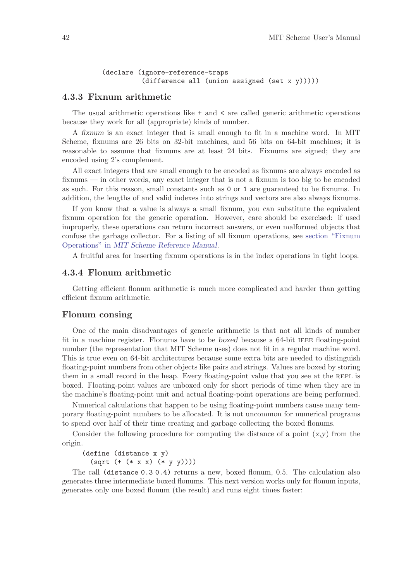```
(declare (ignore-reference-traps
         (difference all (union assigned (set x v))))
```
#### 4.3.3 Fixnum arithmetic

The usual arithmetic operations like  $+$  and  $\lt$  are called generic arithmetic operations because they work for all (appropriate) kinds of number.

A fixnum is an exact integer that is small enough to fit in a machine word. In MIT Scheme, fixnums are 26 bits on 32-bit machines, and 56 bits on 64-bit machines; it is reasonable to assume that fixnums are at least 24 bits. Fixnums are signed; they are encoded using 2's complement.

All exact integers that are small enough to be encoded as fixnums are always encoded as fixnums — in other words, any exact integer that is not a fixnum is too big to be encoded as such. For this reason, small constants such as 0 or 1 are guaranteed to be fixnums. In addition, the lengths of and valid indexes into strings and vectors are also always fixnums.

If you know that a value is always a small fixnum, you can substitute the equivalent fixnum operation for the generic operation. However, care should be exercised: if used improperly, these operations can return incorrect answers, or even malformed objects that confuse the garbage collector. For a listing of all fixnum operations, see section "Fixnum Operations" in MIT Scheme Reference Manual.

A fruitful area for inserting fixnum operations is in the index operations in tight loops.

#### 4.3.4 Flonum arithmetic

Getting efficient flonum arithmetic is much more complicated and harder than getting efficient fixnum arithmetic.

#### Flonum consing

One of the main disadvantages of generic arithmetic is that not all kinds of number fit in a machine register. Flonums have to be boxed because a 64-bit ieee floating-point number (the representation that MIT Scheme uses) does not fit in a regular machine word. This is true even on 64-bit architectures because some extra bits are needed to distinguish floating-point numbers from other objects like pairs and strings. Values are boxed by storing them in a small record in the heap. Every floating-point value that you see at the REPL is boxed. Floating-point values are unboxed only for short periods of time when they are in the machine's floating-point unit and actual floating-point operations are being performed.

Numerical calculations that happen to be using floating-point numbers cause many temporary floating-point numbers to be allocated. It is not uncommon for numerical programs to spend over half of their time creating and garbage collecting the boxed flonums.

Consider the following procedure for computing the distance of a point  $(x,y)$  from the origin.

(define (distance x y) (sqrt (+ (\* x x) (\* y y))))

The call (distance 0.3 0.4) returns a new, boxed flonum, 0.5. The calculation also generates three intermediate boxed flonums. This next version works only for flonum inputs, generates only one boxed flonum (the result) and runs eight times faster: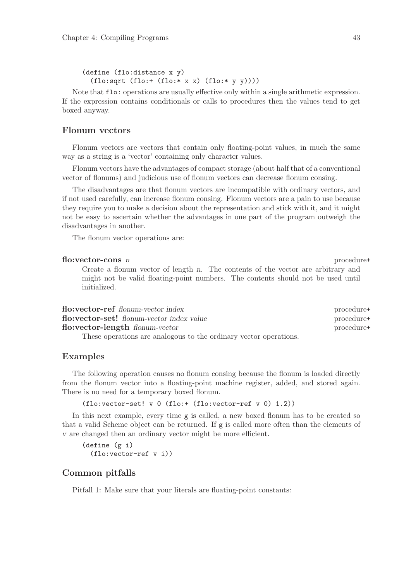```
(define (flo:distance x y)
  (flo:sqrt (flo:+(flo: * x x) (flo: * y y))))
```
Note that flo: operations are usually effective only within a single arithmetic expression. If the expression contains conditionals or calls to procedures then the values tend to get boxed anyway.

### Flonum vectors

Flonum vectors are vectors that contain only floating-point values, in much the same way as a string is a 'vector' containing only character values.

Flonum vectors have the advantages of compact storage (about half that of a conventional vector of flonums) and judicious use of flonum vectors can decrease flonum consing.

The disadvantages are that flonum vectors are incompatible with ordinary vectors, and if not used carefully, can increase flonum consing. Flonum vectors are a pain to use because they require you to make a decision about the representation and stick with it, and it might not be easy to ascertain whether the advantages in one part of the program outweigh the disadvantages in another.

The flonum vector operations are:

#### flo:vector-cons n procedure+

Create a flonum vector of length n. The contents of the vector are arbitrary and might not be valid floating-point numbers. The contents should not be used until initialized.

| flo:vector-ref flonum-vector index                                | procedure+ |
|-------------------------------------------------------------------|------------|
| <b>flo:vector-set!</b> flonum-vector index value                  | procedure+ |
| flo:vector-length flonum-vector                                   | procedure+ |
| These operations are analogous to the ordinary vector operations. |            |

#### Examples

The following operation causes no flonum consing because the flonum is loaded directly from the flonum vector into a floating-point machine register, added, and stored again. There is no need for a temporary boxed flonum.

(flo:vector-set! v 0 (flo:+ (flo:vector-ref v 0) 1.2))

In this next example, every time g is called, a new boxed flonum has to be created so that a valid Scheme object can be returned. If g is called more often than the elements of v are changed then an ordinary vector might be more efficient.

```
(define (g i)
  (flo:vector-ref v i))
```
### Common pitfalls

Pitfall 1: Make sure that your literals are floating-point constants: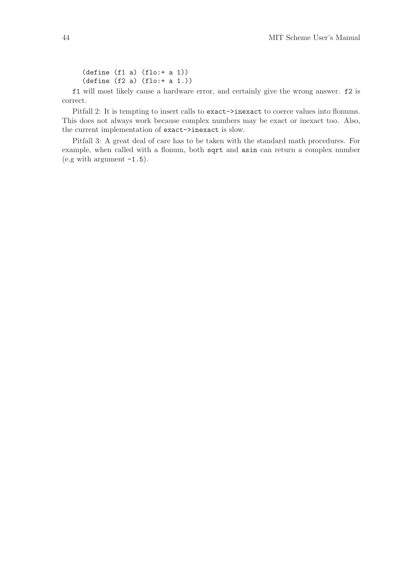(define (f1 a) (flo:+ a 1)) (define (f2 a) (flo:+ a 1.))

f1 will most likely cause a hardware error, and certainly give the wrong answer. f2 is correct.

Pitfall 2: It is tempting to insert calls to exact->inexact to coerce values into flonums. This does not always work because complex numbers may be exact or inexact too. Also, the current implementation of exact->inexact is slow.

Pitfall 3: A great deal of care has to be taken with the standard math procedures. For example, when called with a flonum, both sqrt and asin can return a complex number  $(e.g with argument -1.5).$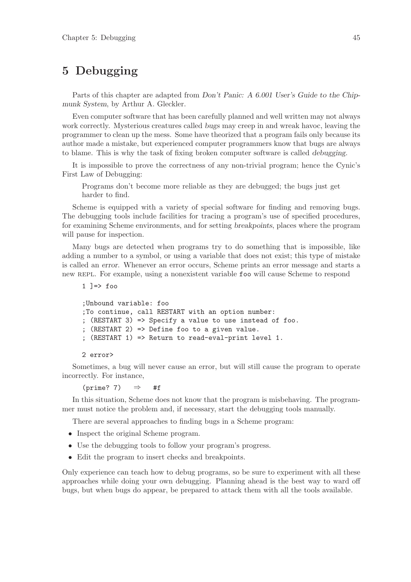# 5 Debugging

Parts of this chapter are adapted from Don't Panic: A 6.001 User's Guide to the Chipmunk System, by Arthur A. Gleckler.

Even computer software that has been carefully planned and well written may not always work correctly. Mysterious creatures called bugs may creep in and wreak havoc, leaving the programmer to clean up the mess. Some have theorized that a program fails only because its author made a mistake, but experienced computer programmers know that bugs are always to blame. This is why the task of fixing broken computer software is called debugging.

It is impossible to prove the correctness of any non-trivial program; hence the Cynic's First Law of Debugging:

Programs don't become more reliable as they are debugged; the bugs just get harder to find.

Scheme is equipped with a variety of special software for finding and removing bugs. The debugging tools include facilities for tracing a program's use of specified procedures, for examining Scheme environments, and for setting breakpoints, places where the program will pause for inspection.

Many bugs are detected when programs try to do something that is impossible, like adding a number to a symbol, or using a variable that does not exist; this type of mistake is called an error. Whenever an error occurs, Scheme prints an error message and starts a new REPL. For example, using a nonexistent variable foo will cause Scheme to respond

```
1 ]=\frac{1}{2} foo
```

```
;Unbound variable: foo
;To continue, call RESTART with an option number:
; (RESTART 3) => Specify a value to use instead of foo.
; (RESTART 2) => Define foo to a given value.
; (RESTART 1) => Return to read-eval-print level 1.
```
#### 2 error>

Sometimes, a bug will never cause an error, but will still cause the program to operate incorrectly. For instance,

 $(prime? 7)$   $\Rightarrow$  #f

In this situation, Scheme does not know that the program is misbehaving. The programmer must notice the problem and, if necessary, start the debugging tools manually.

There are several approaches to finding bugs in a Scheme program:

- Inspect the original Scheme program.
- Use the debugging tools to follow your program's progress.
- Edit the program to insert checks and breakpoints.

Only experience can teach how to debug programs, so be sure to experiment with all these approaches while doing your own debugging. Planning ahead is the best way to ward off bugs, but when bugs do appear, be prepared to attack them with all the tools available.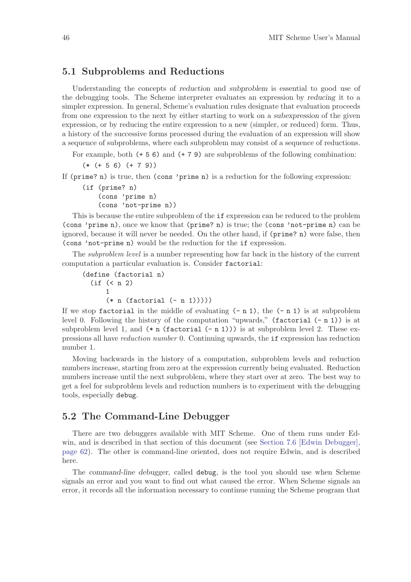## 5.1 Subproblems and Reductions

Understanding the concepts of reduction and subproblem is essential to good use of the debugging tools. The Scheme interpreter evaluates an expression by reducing it to a simpler expression. In general, Scheme's evaluation rules designate that evaluation proceeds from one expression to the next by either starting to work on a subexpression of the given expression, or by reducing the entire expression to a new (simpler, or reduced) form. Thus, a history of the successive forms processed during the evaluation of an expression will show a sequence of subproblems, where each subproblem may consist of a sequence of reductions.

For example, both (+ 5 6) and (+ 7 9) are subproblems of the following combination:

(\* (+ 5 6) (+ 7 9))

If (prime? n) is true, then (cons 'prime n) is a reduction for the following expression:

```
(if (prime? n)
    (cons 'prime n)
    (cons 'not-prime n))
```
This is because the entire subproblem of the if expression can be reduced to the problem (cons 'prime n), once we know that (prime? n) is true; the (cons 'not-prime n) can be ignored, because it will never be needed. On the other hand, if (prime? n) were false, then (cons 'not-prime n) would be the reduction for the if expression.

The subproblem level is a number representing how far back in the history of the current computation a particular evaluation is. Consider factorial:

```
(define (factorial n)
  (if (< n 2)
      1
      (* n (factorial (- n 1))))
```
If we stop factorial in the middle of evaluating  $(-n 1)$ , the  $(-n 1)$  is at subproblem level 0. Following the history of the computation "upwards," (factorial  $(-n 1)$ ) is at subproblem level 1, and  $(*n$  (factorial  $(-n 1))$ ) is at subproblem level 2. These expressions all have reduction number 0. Continuing upwards, the if expression has reduction number 1.

Moving backwards in the history of a computation, subproblem levels and reduction numbers increase, starting from zero at the expression currently being evaluated. Reduction numbers increase until the next subproblem, where they start over at zero. The best way to get a feel for subproblem levels and reduction numbers is to experiment with the debugging tools, especially debug.

## 5.2 The Command-Line Debugger

There are two debuggers available with MIT Scheme. One of them runs under Edwin, and is described in that section of this document (see [Section 7.6 \[Edwin Debugger\],](#page-63-0) [page 62](#page-63-0)). The other is command-line oriented, does not require Edwin, and is described here.

The command-line debugger, called debug, is the tool you should use when Scheme signals an error and you want to find out what caused the error. When Scheme signals an error, it records all the information necessary to continue running the Scheme program that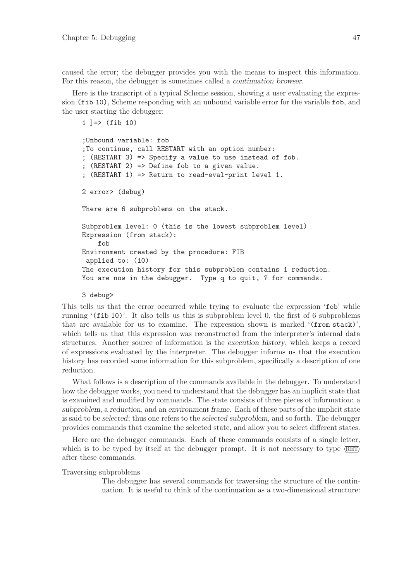caused the error; the debugger provides you with the means to inspect this information. For this reason, the debugger is sometimes called a continuation browser.

Here is the transcript of a typical Scheme session, showing a user evaluating the expression (fib 10), Scheme responding with an unbound variable error for the variable fob, and the user starting the debugger:

```
1 ]=> (fib 10)
;Unbound variable: fob
;To continue, call RESTART with an option number:
; (RESTART 3) => Specify a value to use instead of fob.
; (RESTART 2) => Define fob to a given value.
; (RESTART 1) => Return to read-eval-print level 1.
2 error> (debug)
There are 6 subproblems on the stack.
Subproblem level: 0 (this is the lowest subproblem level)
Expression (from stack):
    fob
Environment created by the procedure: FIB
 applied to: (10)
The execution history for this subproblem contains 1 reduction.
You are now in the debugger. Type q to quit, ? for commands.
```
#### 3 debug>

This tells us that the error occurred while trying to evaluate the expression 'fob' while running '(fib 10)'. It also tells us this is subproblem level 0, the first of 6 subproblems that are available for us to examine. The expression shown is marked '(from stack)', which tells us that this expression was reconstructed from the interpreter's internal data structures. Another source of information is the execution history, which keeps a record of expressions evaluated by the interpreter. The debugger informs us that the execution history has recorded some information for this subproblem, specifically a description of one reduction.

What follows is a description of the commands available in the debugger. To understand how the debugger works, you need to understand that the debugger has an implicit state that is examined and modified by commands. The state consists of three pieces of information: a subproblem, a reduction, and an environment frame. Each of these parts of the implicit state is said to be selected; thus one refers to the selected subproblem, and so forth. The debugger provides commands that examine the selected state, and allow you to select different states.

Here are the debugger commands. Each of these commands consists of a single letter, which is to be typed by itself at the debugger prompt. It is not necessary to type  $\langle \overline{\text{RET}} \rangle$ after these commands.

Traversing subproblems

The debugger has several commands for traversing the structure of the continuation. It is useful to think of the continuation as a two-dimensional structure: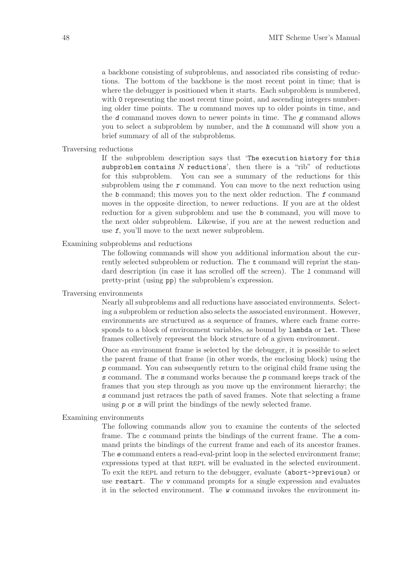a backbone consisting of subproblems, and associated ribs consisting of reductions. The bottom of the backbone is the most recent point in time; that is where the debugger is positioned when it starts. Each subproblem is numbered, with 0 representing the most recent time point, and ascending integers numbering older time points. The u command moves up to older points in time, and the  $d$  command moves down to newer points in time. The  $g$  command allows you to select a subproblem by number, and the h command will show you a brief summary of all of the subproblems.

#### Traversing reductions

If the subproblem description says that 'The execution history for this subproblem contains  $N$  reductions', then there is a "rib" of reductions for this subproblem. You can see a summary of the reductions for this subproblem using the  $r$  command. You can move to the next reduction using the b command; this moves you to the next older reduction. The f command moves in the opposite direction, to newer reductions. If you are at the oldest reduction for a given subproblem and use the b command, you will move to the next older subproblem. Likewise, if you are at the newest reduction and use f, you'll move to the next newer subproblem.

Examining subproblems and reductions

The following commands will show you additional information about the currently selected subproblem or reduction. The t command will reprint the standard description (in case it has scrolled off the screen). The 1 command will pretty-print (using pp) the subproblem's expression.

#### Traversing environments

Nearly all subproblems and all reductions have associated environments. Selecting a subproblem or reduction also selects the associated environment. However, environments are structured as a sequence of frames, where each frame corresponds to a block of environment variables, as bound by lambda or let. These frames collectively represent the block structure of a given environment.

Once an environment frame is selected by the debugger, it is possible to select the parent frame of that frame (in other words, the enclosing block) using the p command. You can subsequently return to the original child frame using the s command. The s command works because the p command keeps track of the frames that you step through as you move up the environment hierarchy; the s command just retraces the path of saved frames. Note that selecting a frame using p or s will print the bindings of the newly selected frame.

#### Examining environments

The following commands allow you to examine the contents of the selected frame. The c command prints the bindings of the current frame. The a command prints the bindings of the current frame and each of its ancestor frames. The e command enters a read-eval-print loop in the selected environment frame; expressions typed at that REPL will be evaluated in the selected environment. To exit the repl and return to the debugger, evaluate (abort->previous) or use restart. The v command prompts for a single expression and evaluates it in the selected environment. The w command invokes the environment in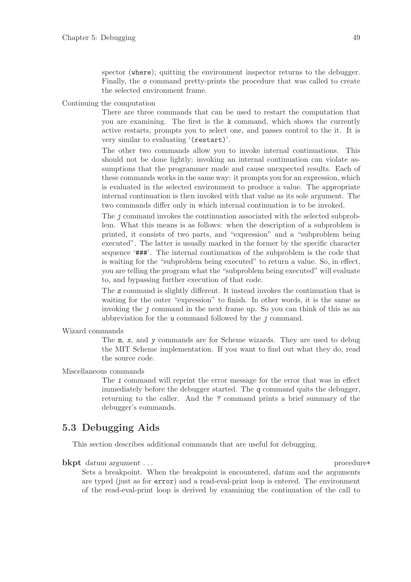spector (where); quitting the environment inspector returns to the debugger. Finally, the o command pretty-prints the procedure that was called to create the selected environment frame.

#### Continuing the computation

There are three commands that can be used to restart the computation that you are examining. The first is the k command, which shows the currently active restarts, prompts you to select one, and passes control to the it. It is very similar to evaluating '(restart)'.

The other two commands allow you to invoke internal continuations. This should not be done lightly; invoking an internal continuation can violate assumptions that the programmer made and cause unexpected results. Each of these commands works in the same way: it prompts you for an expression, which is evaluated in the selected environment to produce a value. The appropriate internal continuation is then invoked with that value as its sole argument. The two commands differ only in which internal continuation is to be invoked.

The j command invokes the continuation associated with the selected subproblem. What this means is as follows: when the description of a subproblem is printed, it consists of two parts, and "expression" and a "subproblem being executed". The latter is usually marked in the former by the specific character sequence '###'. The internal continuation of the subproblem is the code that is waiting for the "subproblem being executed" to return a value. So, in effect, you are telling the program what the "subproblem being executed" will evaluate to, and bypassing further execution of that code.

The z command is slightly different. It instead invokes the continuation that is waiting for the outer "expression" to finish. In other words, it is the same as invoking the j command in the next frame up. So you can think of this as an abbreviation for the u command followed by the j command.

#### Wizard commands

The m, x, and y commands are for Scheme wizards. They are used to debug the MIT Scheme implementation. If you want to find out what they do, read the source code.

#### Miscellaneous commands

The i command will reprint the error message for the error that was in effect immediately before the debugger started. The  $q$  command quits the debugger, returning to the caller. And the ? command prints a brief summary of the debugger's commands.

## 5.3 Debugging Aids

This section describes additional commands that are useful for debugging.

**bkpt** datum argument . . . procedure+

Sets a breakpoint. When the breakpoint is encountered, datum and the arguments are typed (just as for error) and a read-eval-print loop is entered. The environment of the read-eval-print loop is derived by examining the continuation of the call to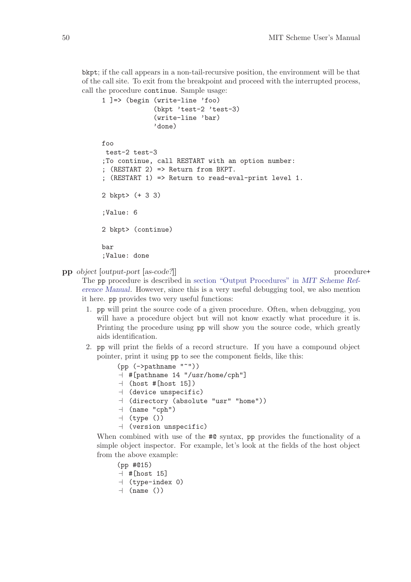bkpt; if the call appears in a non-tail-recursive position, the environment will be that of the call site. To exit from the breakpoint and proceed with the interrupted process, call the procedure continue. Sample usage:

```
1 ]=> (begin (write-line 'foo)
             (bkpt 'test-2 'test-3)
             (write-line 'bar)
             'done)
foo
test-2 test-3
;To continue, call RESTART with an option number:
; (RESTART 2) => Return from BKPT.
; (RESTART 1) => Return to read-eval-print level 1.
2 bkpt> (+ 3 3)
;Value: 6
2 bkpt> (continue)
bar
;Value: done
```
pp object [output-port [as-code?]] procedure+

The pp procedure is described in section "Output Procedures" in MIT Scheme Reference Manual. However, since this is a very useful debugging tool, we also mention it here. pp provides two very useful functions:

- 1. pp will print the source code of a given procedure. Often, when debugging, you will have a procedure object but will not know exactly what procedure it is. Printing the procedure using pp will show you the source code, which greatly aids identification.
- 2. pp will print the fields of a record structure. If you have a compound object pointer, print it using pp to see the component fields, like this:

```
(pp (->pathname "~"))
\overline{a} #[pathname 14 "/usr/home/cph"]
\lnot (host #[host 15])
\dashv (device unspecific)
\dashv (directory (absolute "usr" "home"))
\lnot (name "cph")
\vdash (type ())
\mathcal A (version unspecific)
```
When combined with use of the  $\#$ **Q** syntax, pp provides the functionality of a simple object inspector. For example, let's look at the fields of the host object from the above example:

```
(pp #@15)
```

```
\lnot #[host 15]
```
- $\vdash$  (type-index 0)
- $\lnot$  (name ())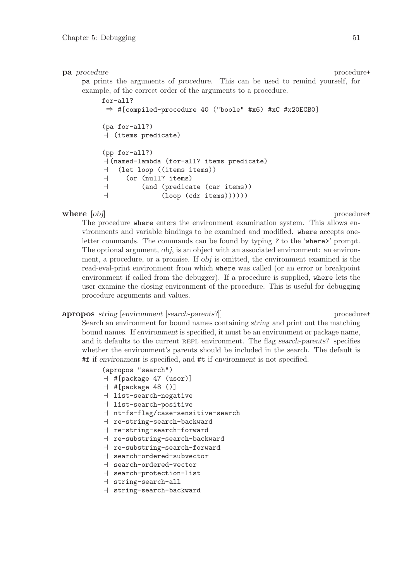#### pa procedure procedure procedure procedure procedure procedure procedure procedure procedure procedure procedure  $\mathbb{R}^n$

pa prints the arguments of procedure. This can be used to remind yourself, for example, of the correct order of the arguments to a procedure.

for-all? ⇒ #[compiled-procedure 40 ("boole" #x6) #xC #x20ECB0] (pa for-all?)  $\vdash$  (items predicate) (pp for-all?)  $\dashv$  (named-lambda (for-all? items predicate)  $\lnot$  (let loop ((items items))  $\vdash$  (or (null? items)  $\vdash$  (and (predicate (car items))  $\lnot$  (loop (cdr items))))))

#### where  $[obj]$  procedure+

The procedure where enters the environment examination system. This allows environments and variable bindings to be examined and modified. where accepts oneletter commands. The commands can be found by typing ? to the 'where>' prompt. The optional argument,  $obj$ , is an object with an associated environment: an environment, a procedure, or a promise. If obj is omitted, the environment examined is the read-eval-print environment from which where was called (or an error or breakpoint environment if called from the debugger). If a procedure is supplied, where lets the user examine the closing environment of the procedure. This is useful for debugging procedure arguments and values.

#### apropos string [environment [search-parents?]] procedure+

Search an environment for bound names containing string and print out the matching bound names. If environment is specified, it must be an environment or package name, and it defaults to the current REPL environment. The flag search-parents? specifies whether the environment's parents should be included in the search. The default is #f if environment is specified, and #t if environment is not specified.

#### (apropos "search")

- $\lnot$  #[package 47 (user)]
- $\exists$  #[package 48 ()]
- $\exists$  list-search-negative
- $-1$  list-search-positive
- $+$  nt-fs-flag/case-sensitive-search
- $\lnot$  re-string-search-backward
- $\lnot$  re-string-search-forward
- $+$  re-substring-search-backward
- $\lnot$  re-substring-search-forward
- $\exists$  search-ordered-subvector
- $\vdash$  search-ordered-vector
- $\vdash$  search-protection-list
- $\parallel$  string-search-all
- $\vdash$  string-search-backward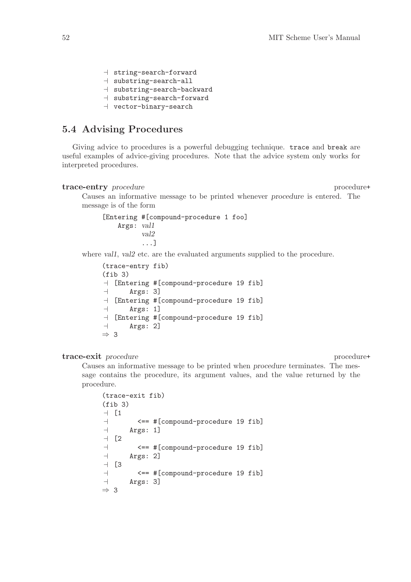- $\dashv$  string-search-forward
- $\dashv$  substring-search-all
- $\dashv$  substring-search-backward
- $\dashv$  substring-search-forward
- $\vdash$  vector-binary-search

## 5.4 Advising Procedures

Giving advice to procedures is a powerful debugging technique. trace and break are useful examples of advice-giving procedures. Note that the advice system only works for interpreted procedures.

#### trace-entry procedure procedure procedure procedure procedure procedure procedure procedure procedure procedure  $\mathcal{L}$

Causes an informative message to be printed whenever procedure is entered. The message is of the form

```
[Entering #[compound-procedure 1 foo]
    Args: val1
          val2
          ...]
```
where vall, val<sub>2</sub> etc. are the evaluated arguments supplied to the procedure.

```
(trace-entry fib)
(fib 3)
\overline{a} [Entering #[compound-procedure 19 fib]
\vdash Args: 3]
\overline{a} [Entering #[compound-procedure 19 fib]
\vdash Args: 1]
\overline{a} [Entering #[compound-procedure 19 fib]
\vdash Args: 2]
⇒ 3
```
#### trace-exit procedure procedure procedure procedure procedure procedure procedure procedure procedure procedure  $\mathbb{R}^n$

Causes an informative message to be printed when procedure terminates. The message contains the procedure, its argument values, and the value returned by the procedure.

```
(trace-exit fib)
(fib 3)
-1 1\vdash \leftarrow \leftarrow #[compound-procedure 19 fib]
\vdash Args: 1]
- [2
- \leftarrow \leftarrow \# [compound-procedure 19 fib]
\vdash Args: 2]
-1 [3
\vdash \leftarrow \leftarrow #[compound-procedure 19 fib]
\vdash Args: 3]
⇒ 3
```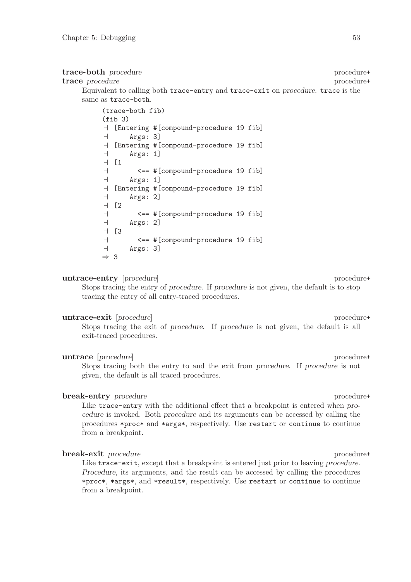#### trace-both procedure procedure procedure procedure+

trace procedure experience in the procedure procedure procedure procedure experience of  $\mathbb{R}^n$ 

Equivalent to calling both trace-entry and trace-exit on procedure. trace is the same as trace-both.

| (trace-both fib)         |                     |                                                      |  |  |
|--------------------------|---------------------|------------------------------------------------------|--|--|
|                          | (fib <sub>3</sub> ) |                                                      |  |  |
|                          |                     | $\mathcal{A}$ [Entering #[compound-procedure 19 fib] |  |  |
| $\overline{\phantom{0}}$ | Args: 3]            |                                                      |  |  |
|                          |                     | - [Entering #[compound-procedure 19 fib]             |  |  |
| $\overline{\phantom{a}}$ | Args: 1]            |                                                      |  |  |
|                          | $-1$ [1             |                                                      |  |  |
| $\overline{\phantom{0}}$ |                     | <== #[compound-procedure 19 fib]                     |  |  |
| $\overline{\phantom{0}}$ | $\text{Args}: 1]$   |                                                      |  |  |
|                          |                     | - [Entering #[compound-procedure 19 fib]             |  |  |
| $\overline{\phantom{0}}$ | Args: 2]            |                                                      |  |  |
| $\overline{\phantom{0}}$ | [2                  |                                                      |  |  |
| $\overline{\phantom{0}}$ |                     | <== #[compound-procedure 19 fib]                     |  |  |
| $\overline{\phantom{0}}$ | Args: 2]            |                                                      |  |  |
| $\overline{\phantom{0}}$ | - ГЗ                |                                                      |  |  |
| $\overline{\phantom{0}}$ |                     | <== #[compound-procedure 19 fib]                     |  |  |
| $\overline{\phantom{0}}$ | Args: 3]            |                                                      |  |  |
| $\Rightarrow$ 3          |                     |                                                      |  |  |

#### untrace-entry [procedure] procedure+

Stops tracing the entry of procedure. If procedure is not given, the default is to stop tracing the entry of all entry-traced procedures.

#### untrace-exit [procedure] procedure+

Stops tracing the exit of procedure. If procedure is not given, the default is all exit-traced procedures.

#### untrace [procedure] procedure+

Stops tracing both the entry to and the exit from procedure. If procedure is not given, the default is all traced procedures.

#### break-entry procedure procedure procedure+

Like trace-entry with the additional effect that a breakpoint is entered when procedure is invoked. Both procedure and its arguments can be accessed by calling the procedures \*proc\* and \*args\*, respectively. Use restart or continue to continue from a breakpoint.

#### break-exit procedure procedure procedure procedure procedure procedure procedure procedure procedure procedure  $\mu$

Like trace-exit, except that a breakpoint is entered just prior to leaving procedure. Procedure, its arguments, and the result can be accessed by calling the procedures \*proc\*, \*args\*, and \*result\*, respectively. Use restart or continue to continue from a breakpoint.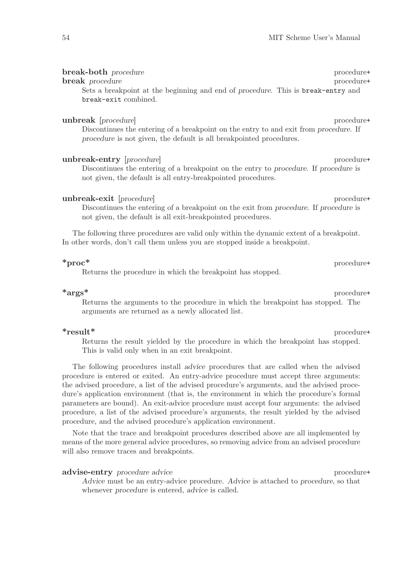#### break-both procedure procedure procedure procedure+

#### break procedure procedure procedure procedure procedure procedure procedure procedure procedure procedure procedure  $\mathbb{R}^n$

Sets a breakpoint at the beginning and end of procedure. This is break-entry and break-exit combined.

#### unbreak [procedure] procedure+

Discontinues the entering of a breakpoint on the entry to and exit from procedure. If procedure is not given, the default is all breakpointed procedures.

unbreak-entry [procedure] procedure+ Discontinues the entering of a breakpoint on the entry to procedure. If procedure is not given, the default is all entry-breakpointed procedures.

#### unbreak-exit [procedure] procedure+

Discontinues the entering of a breakpoint on the exit from procedure. If procedure is not given, the default is all exit-breakpointed procedures.

The following three procedures are valid only within the dynamic extent of a breakpoint. In other words, don't call them unless you are stopped inside a breakpoint.

### \*proc\* procedure+

Returns the procedure in which the breakpoint has stopped.

\*args\* procedure+ Returns the arguments to the procedure in which the breakpoint has stopped. The arguments are returned as a newly allocated list.

### $*$ result $*$  procedure+

Returns the result yielded by the procedure in which the breakpoint has stopped. This is valid only when in an exit breakpoint.

The following procedures install advice procedures that are called when the advised procedure is entered or exited. An entry-advice procedure must accept three arguments: the advised procedure, a list of the advised procedure's arguments, and the advised procedure's application environment (that is, the environment in which the procedure's formal parameters are bound). An exit-advice procedure must accept four arguments: the advised procedure, a list of the advised procedure's arguments, the result yielded by the advised procedure, and the advised procedure's application environment.

Note that the trace and breakpoint procedures described above are all implemented by means of the more general advice procedures, so removing advice from an advised procedure will also remove traces and breakpoints.

#### advise-entry procedure advice procedure+

Advice must be an entry-advice procedure. Advice is attached to procedure, so that whenever procedure is entered, advice is called.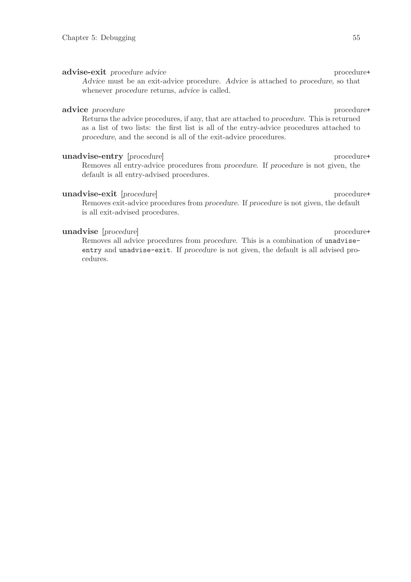#### advise-exit procedure advice procedure+

Advice must be an exit-advice procedure. Advice is attached to procedure, so that whenever procedure returns, advice is called.

#### advice procedure procedure procedure+

Returns the advice procedures, if any, that are attached to procedure. This is returned as a list of two lists: the first list is all of the entry-advice procedures attached to procedure, and the second is all of the exit-advice procedures.

### unadvise-entry [procedure] procedure+

Removes all entry-advice procedures from procedure. If procedure is not given, the default is all entry-advised procedures.

#### unadvise-exit [procedure] procedure+

Removes exit-advice procedures from procedure. If procedure is not given, the default is all exit-advised procedures.

#### unadvise [procedure] procedure+

Removes all advice procedures from procedure. This is a combination of unadviseentry and unadvise-exit. If procedure is not given, the default is all advised procedures.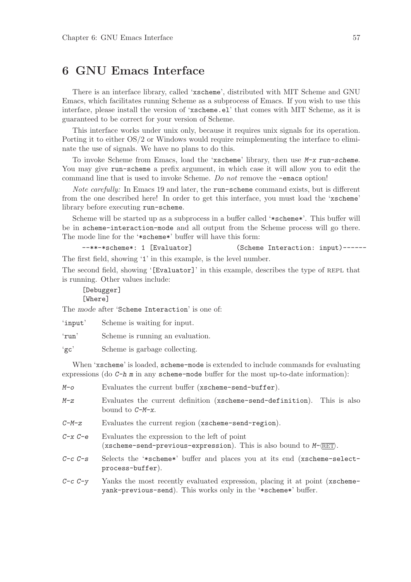# 6 GNU Emacs Interface

There is an interface library, called 'xscheme', distributed with MIT Scheme and GNU Emacs, which facilitates running Scheme as a subprocess of Emacs. If you wish to use this interface, please install the version of 'xscheme.el' that comes with MIT Scheme, as it is guaranteed to be correct for your version of Scheme.

This interface works under unix only, because it requires unix signals for its operation. Porting it to either OS/2 or Windows would require reimplementing the interface to eliminate the use of signals. We have no plans to do this.

To invoke Scheme from Emacs, load the 'xscheme' library, then use M-x run-scheme. You may give run-scheme a prefix argument, in which case it will allow you to edit the command line that is used to invoke Scheme. Do not remove the -emacs option!

Note carefully: In Emacs 19 and later, the run-scheme command exists, but is different from the one described here! In order to get this interface, you must load the 'xscheme' library before executing run-scheme.

Scheme will be started up as a subprocess in a buffer called '\*scheme\*'. This buffer will be in scheme-interaction-mode and all output from the Scheme process will go there. The mode line for the '\*scheme\*' buffer will have this form:

```
--**-*scheme*: 1 [Evaluator] (Scheme Interaction: input)------
The first field, showing '1' in this example, is the level number.
```
The second field, showing '[Evaluator]' in this example, describes the type of REPL that is running. Other values include:

[Debugger] [Where]

The mode after 'Scheme Interaction' is one of:

'input' Scheme is waiting for input.

'run' Scheme is running an evaluation.

'gc' Scheme is garbage collecting.

When 'xscheme' is loaded, scheme-mode is extended to include commands for evaluating expressions (do  $C-h$  m in any scheme-mode buffer for the most up-to-date information):

| M-o         | Evaluates the current buffer (xscheme-send-buffer).                                                                                                        |
|-------------|------------------------------------------------------------------------------------------------------------------------------------------------------------|
| $M-Z$       | Evaluates the current definition (xscheme-send-definition). This is also<br>bound to $C-M-x$ .                                                             |
| $C$ -M-z    | Evaluates the current region (xscheme-send-region).                                                                                                        |
| $C-x$ $C-e$ | Evaluates the expression to the left of point<br>(xscheme-send-previous-expression). This is also bound to $M$ - $\langle \overline{\text{RET}} \rangle$ . |
| $C-c$ $C-s$ | Selects the '*scheme*' buffer and places you at its end (xscheme-select-<br>process-buffer).                                                               |
| $C-c$ $C-y$ | Yanks the most recently evaluated expression, placing it at point (xscheme-<br>yank-previous-send). This works only in the '*scheme*' buffer.              |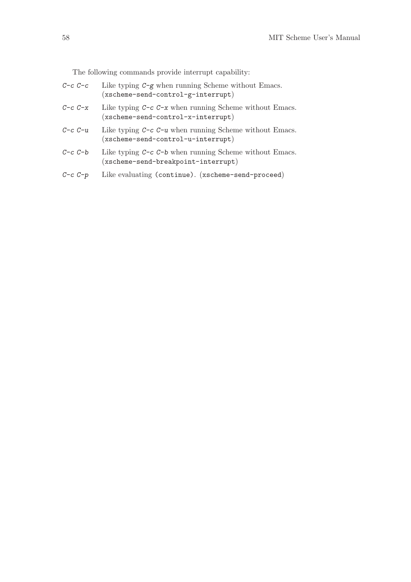The following commands provide interrupt capability:

- $C-c$  C-c Like typing  $C-g$  when running Scheme without Emacs. (xscheme-send-control-g-interrupt)
- $C-c -c$  Like typing  $C-c -c$  when running Scheme without Emacs. (xscheme-send-control-x-interrupt)
- $C\text{-}c$   $C\text{-}u$  Like typing  $C\text{-}c$   $C\text{-}u$  when running Scheme without Emacs. (xscheme-send-control-u-interrupt)
- $C-c$  C-b Like typing  $C-c$  C-b when running Scheme without Emacs. (xscheme-send-breakpoint-interrupt)
- C-c C-p Like evaluating (continue). (xscheme-send-proceed)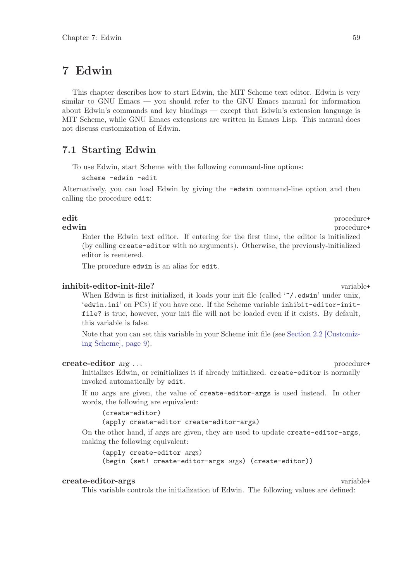# 7 Edwin

This chapter describes how to start Edwin, the MIT Scheme text editor. Edwin is very similar to GNU Emacs — you should refer to the GNU Emacs manual for information about Edwin's commands and key bindings — except that Edwin's extension language is MIT Scheme, while GNU Emacs extensions are written in Emacs Lisp. This manual does not discuss customization of Edwin.

## 7.1 Starting Edwin

To use Edwin, start Scheme with the following command-line options:

scheme -edwin -edit

Alternatively, you can load Edwin by giving the -edwin command-line option and then calling the procedure edit:

### edit procedure that  $\mathbf{p}$  procedure that  $\mathbf{p}$  procedure that  $\mathbf{p}$  is  $\mathbf{p}$  and  $\mathbf{p}$  is  $\mathbf{p}$  and  $\mathbf{p}$  is  $\mathbf{p}$  and  $\mathbf{p}$  is  $\mathbf{p}$  and  $\mathbf{p}$  is  $\mathbf{p}$  and  $\mathbf{p}$  and  $\mathbf{p}$  and  $\math$

edwin procedure+ Enter the Edwin text editor. If entering for the first time, the editor is initialized (by calling create-editor with no arguments). Otherwise, the previously-initialized editor is reentered.

The procedure edwin is an alias for edit.

#### inhibit-editor-init-file? variable+

When Edwin is first initialized, it loads your init file (called ' $\gamma$ , edwin' under unix, 'edwin.ini' on PCs) if you have one. If the Scheme variable inhibit-editor-initfile? is true, however, your init file will not be loaded even if it exists. By default, this variable is false.

Note that you can set this variable in your Scheme init file (see [Section 2.2 \[Customiz](#page-10-0)[ing Scheme\], page 9](#page-10-0)).

#### create-editor  $arg \ldots$  procedure+

Initializes Edwin, or reinitializes it if already initialized. create-editor is normally invoked automatically by edit.

If no args are given, the value of create-editor-args is used instead. In other words, the following are equivalent:

(create-editor) (apply create-editor create-editor-args)

On the other hand, if args are given, they are used to update create-editor-args, making the following equivalent:

(apply create-editor args) (begin (set! create-editor-args args) (create-editor))

## create-editor-args variable+

This variable controls the initialization of Edwin. The following values are defined: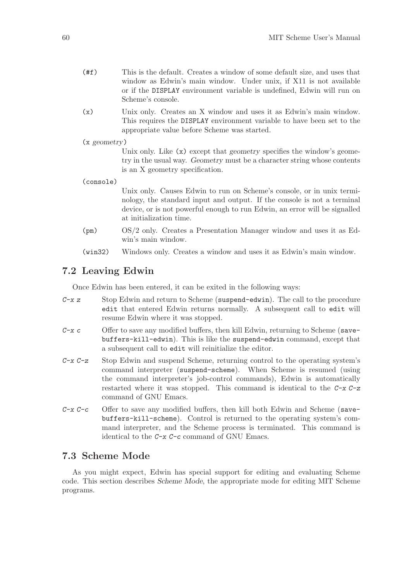- (#f) This is the default. Creates a window of some default size, and uses that window as Edwin's main window. Under unix, if X11 is not available or if the DISPLAY environment variable is undefined, Edwin will run on Scheme's console.
- (x) Unix only. Creates an X window and uses it as Edwin's main window. This requires the DISPLAY environment variable to have been set to the appropriate value before Scheme was started.

(x geometry)

Unix only. Like  $(x)$  except that geometry specifies the window's geometry in the usual way. Geometry must be a character string whose contents is an X geometry specification.

(console)

Unix only. Causes Edwin to run on Scheme's console, or in unix terminology, the standard input and output. If the console is not a terminal device, or is not powerful enough to run Edwin, an error will be signalled at initialization time.

- (pm) OS/2 only. Creates a Presentation Manager window and uses it as Edwin's main window.
- (win32) Windows only. Creates a window and uses it as Edwin's main window.

## 7.2 Leaving Edwin

Once Edwin has been entered, it can be exited in the following ways:

- $C-x$  z Stop Edwin and return to Scheme (suspend-edwin). The call to the procedure edit that entered Edwin returns normally. A subsequent call to edit will resume Edwin where it was stopped.
- $C-x$  c Offer to save any modified buffers, then kill Edwin, returning to Scheme (savebuffers-kill-edwin). This is like the suspend-edwin command, except that a subsequent call to edit will reinitialize the editor.
- $C-x$  Stop Edwin and suspend Scheme, returning control to the operating system's command interpreter (suspend-scheme). When Scheme is resumed (using the command interpreter's job-control commands), Edwin is automatically restarted where it was stopped. This command is identical to the  $C-x$   $C-z$ command of GNU Emacs.
- $C-x$   $C-c$  Offer to save any modified buffers, then kill both Edwin and Scheme (savebuffers-kill-scheme). Control is returned to the operating system's command interpreter, and the Scheme process is terminated. This command is identical to the C-x C-c command of GNU Emacs.

## 7.3 Scheme Mode

As you might expect, Edwin has special support for editing and evaluating Scheme code. This section describes Scheme Mode, the appropriate mode for editing MIT Scheme programs.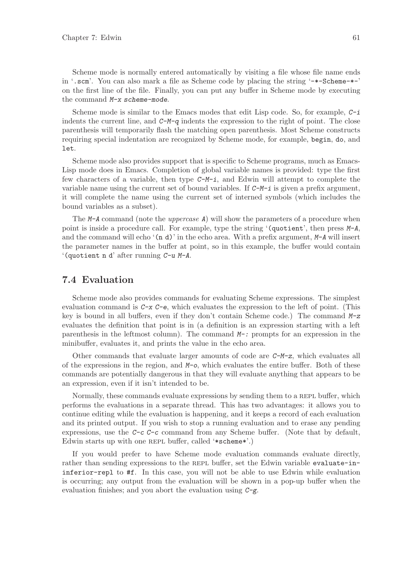Scheme mode is normally entered automatically by visiting a file whose file name ends in '.scm'. You can also mark a file as Scheme code by placing the string '-\*-Scheme-\*-' on the first line of the file. Finally, you can put any buffer in Scheme mode by executing the command M-x scheme-mode.

Scheme mode is similar to the Emacs modes that edit Lisp code. So, for example,  $C$ -i indents the current line, and  $C-M-q$  indents the expression to the right of point. The close parenthesis will temporarily flash the matching open parenthesis. Most Scheme constructs requiring special indentation are recognized by Scheme mode, for example, begin, do, and let.

Scheme mode also provides support that is specific to Scheme programs, much as Emacs-Lisp mode does in Emacs. Completion of global variable names is provided: type the first few characters of a variable, then type  $C-M-i$ , and Edwin will attempt to complete the variable name using the current set of bound variables. If  $C-M-i$  is given a prefix argument, it will complete the name using the current set of interned symbols (which includes the bound variables as a subset).

The M-A command (note the *uppercase A*) will show the parameters of a procedure when point is inside a procedure call. For example, type the string '(quotient', then press  $M-A$ , and the command will echo  $(n d)'$  in the echo area. With a prefix argument,  $M-A$  will insert the parameter names in the buffer at point, so in this example, the buffer would contain '(quotient n d' after running C-u M-A.

## 7.4 Evaluation

Scheme mode also provides commands for evaluating Scheme expressions. The simplest evaluation command is  $C-x$   $C-e$ , which evaluates the expression to the left of point. (This key is bound in all buffers, even if they don't contain Scheme code.) The command  $M-z$ evaluates the definition that point is in (a definition is an expression starting with a left parenthesis in the leftmost column). The command  $M-$ : prompts for an expression in the minibuffer, evaluates it, and prints the value in the echo area.

Other commands that evaluate larger amounts of code are  $C-M-z$ , which evaluates all of the expressions in the region, and  $M_{\text{o}}$ , which evaluates the entire buffer. Both of these commands are potentially dangerous in that they will evaluate anything that appears to be an expression, even if it isn't intended to be.

Normally, these commands evaluate expressions by sending them to a REPL buffer, which performs the evaluations in a separate thread. This has two advantages: it allows you to continue editing while the evaluation is happening, and it keeps a record of each evaluation and its printed output. If you wish to stop a running evaluation and to erase any pending expressions, use the  $C-c$  command from any Scheme buffer. (Note that by default, Edwin starts up with one repl buffer, called '\*scheme\*'.)

If you would prefer to have Scheme mode evaluation commands evaluate directly, rather than sending expressions to the REPL buffer, set the Edwin variable evaluate-ininferior-repl to #f. In this case, you will not be able to use Edwin while evaluation is occurring; any output from the evaluation will be shown in a pop-up buffer when the evaluation finishes; and you abort the evaluation using  $C-\mathbf{g}$ .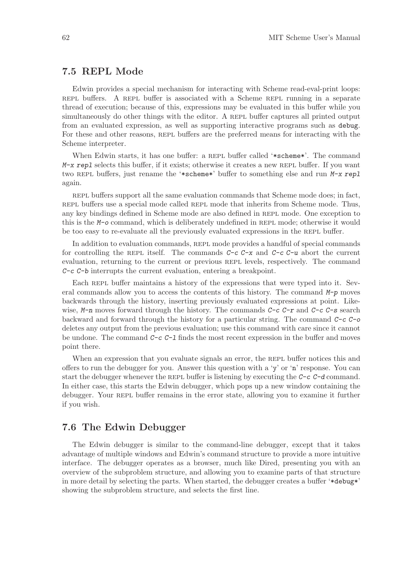## 7.5 REPL Mode

Edwin provides a special mechanism for interacting with Scheme read-eval-print loops: repl buffers. A repl buffer is associated with a Scheme repl running in a separate thread of execution; because of this, expressions may be evaluated in this buffer while you simultaneously do other things with the editor. A REPL buffer captures all printed output from an evaluated expression, as well as supporting interactive programs such as debug. For these and other reasons, REPL buffers are the preferred means for interacting with the Scheme interpreter.

When Edwin starts, it has one buffer: a REPL buffer called '\*scheme\*'. The command  $M-x$  repl selects this buffer, if it exists; otherwise it creates a new REPL buffer. If you want two REPL buffers, just rename the '\*scheme\*' buffer to something else and run M-x repl again.

repl buffers support all the same evaluation commands that Scheme mode does; in fact, repl buffers use a special mode called repl mode that inherits from Scheme mode. Thus, any key bindings defined in Scheme mode are also defined in repl mode. One exception to this is the M-o command, which is deliberately undefined in REPL mode; otherwise it would be too easy to re-evaluate all the previously evaluated expressions in the REPL buffer.

In addition to evaluation commands, REPL mode provides a handful of special commands for controlling the REPL itself. The commands  $C-c$   $C-x$  and  $C-c$   $C-u$  abort the current evaluation, returning to the current or previous REPL levels, respectively. The command C-c C-b interrupts the current evaluation, entering a breakpoint.

Each REPL buffer maintains a history of the expressions that were typed into it. Several commands allow you to access the contents of this history. The command  $M-p$  moves backwards through the history, inserting previously evaluated expressions at point. Likewise,  $M-n$  moves forward through the history. The commands  $C-c$   $T$  and  $C-c$   $T-s$  search backward and forward through the history for a particular string. The command  $C-c$ deletes any output from the previous evaluation; use this command with care since it cannot be undone. The command  $C-c$   $C-1$  finds the most recent expression in the buffer and moves point there.

When an expression that you evaluate signals an error, the REPL buffer notices this and offers to run the debugger for you. Answer this question with a 'y' or 'n' response. You can start the debugger whenever the REPL buffer is listening by executing the  $C-c$   $C-d$  command. In either case, this starts the Edwin debugger, which pops up a new window containing the debugger. Your REPL buffer remains in the error state, allowing you to examine it further if you wish.

## 7.6 The Edwin Debugger

<span id="page-63-0"></span>The Edwin debugger is similar to the command-line debugger, except that it takes advantage of multiple windows and Edwin's command structure to provide a more intuitive interface. The debugger operates as a browser, much like Dired, presenting you with an overview of the subproblem structure, and allowing you to examine parts of that structure in more detail by selecting the parts. When started, the debugger creates a buffer '\*debug\*' showing the subproblem structure, and selects the first line.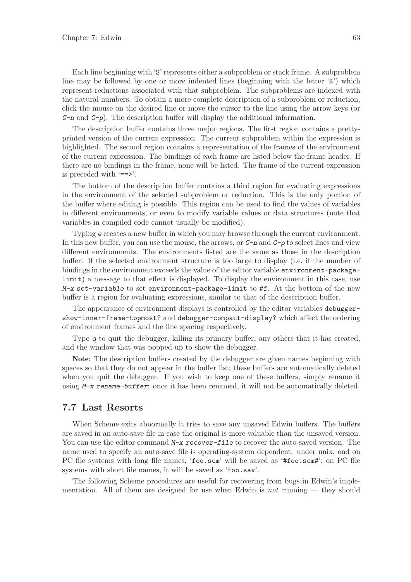Each line beginning with 'S' represents either a subproblem or stack frame. A subproblem line may be followed by one or more indented lines (beginning with the letter 'R') which represent reductions associated with that subproblem. The subproblems are indexed with the natural numbers. To obtain a more complete description of a subproblem or reduction, click the mouse on the desired line or move the cursor to the line using the arrow keys (or  $C-n$  and  $C-p$ ). The description buffer will display the additional information.

The description buffer contains three major regions. The first region contains a prettyprinted version of the current expression. The current subproblem within the expression is highlighted. The second region contains a representation of the frames of the environment of the current expression. The bindings of each frame are listed below the frame header. If there are no bindings in the frame, none will be listed. The frame of the current expression is preceded with '==>'.

The bottom of the description buffer contains a third region for evaluating expressions in the environment of the selected subproblem or reduction. This is the only portion of the buffer where editing is possible. This region can be used to find the values of variables in different environments, or even to modify variable values or data structures (note that variables in compiled code cannot usually be modified).

Typing e creates a new buffer in which you may browse through the current environment. In this new buffer, you can use the mouse, the arrows, or  $C-n$  and  $C-p$  to select lines and view different environments. The environments listed are the same as those in the description buffer. If the selected environment structure is too large to display (i.e. if the number of bindings in the environment exceeds the value of the editor variable environment-packagelimit) a message to that effect is displayed. To display the environment in this case, use  $M-x$  set-variable to set environment-package-limit to #f. At the bottom of the new buffer is a region for evaluating expressions, similar to that of the description buffer.

The appearance of environment displays is controlled by the editor variables debuggershow-inner-frame-topmost? and debugger-compact-display? which affect the ordering of environment frames and the line spacing respectively.

Type q to quit the debugger, killing its primary buffer, any others that it has created, and the window that was popped up to show the debugger.

Note: The description buffers created by the debugger are given names beginning with spaces so that they do not appear in the buffer list; these buffers are automatically deleted when you quit the debugger. If you wish to keep one of these buffers, simply rename it using M-x rename-buffer: once it has been renamed, it will not be automatically deleted.

## 7.7 Last Resorts

When Scheme exits abnormally it tries to save any unsaved Edwin buffers. The buffers are saved in an auto-save file in case the original is more valuable than the unsaved version. You can use the editor command  $M-x$  recover-file to recover the auto-saved version. The name used to specify an auto-save file is operating-system dependent: under unix, and on PC file systems with long file names, 'foo.scm' will be saved as '#foo.scm#'; on PC file systems with short file names, it will be saved as 'foo.sav'.

The following Scheme procedures are useful for recovering from bugs in Edwin's implementation. All of them are designed for use when Edwin is *not* running — they should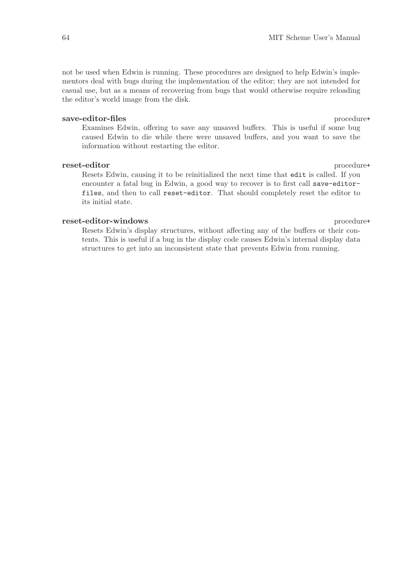not be used when Edwin is running. These procedures are designed to help Edwin's implementors deal with bugs during the implementation of the editor; they are not intended for casual use, but as a means of recovering from bugs that would otherwise require reloading the editor's world image from the disk.

#### save-editor-files procedure+

Examines Edwin, offering to save any unsaved buffers. This is useful if some bug caused Edwin to die while there were unsaved buffers, and you want to save the information without restarting the editor.

#### reset-editor procedure+

Resets Edwin, causing it to be reinitialized the next time that edit is called. If you encounter a fatal bug in Edwin, a good way to recover is to first call save-editorfiles, and then to call reset-editor. That should completely reset the editor to its initial state.

#### reset-editor-windows procedure+

Resets Edwin's display structures, without affecting any of the buffers or their contents. This is useful if a bug in the display code causes Edwin's internal display data structures to get into an inconsistent state that prevents Edwin from running.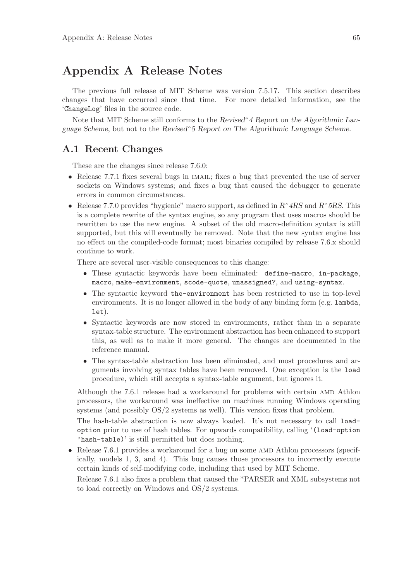# Appendix A Release Notes

The previous full release of MIT Scheme was version 7.5.17. This section describes changes that have occurred since that time. For more detailed information, see the 'ChangeLog' files in the source code.

Note that MIT Scheme still conforms to the Revised<sup>o</sup> 4 Report on the Algorithmic Language Scheme, but not to the Revised^5 Report on The Algorithmic Language Scheme.

## A.1 Recent Changes

These are the changes since release 7.6.0:

- Release 7.7.1 fixes several bugs in IMAIL; fixes a bug that prevented the use of server sockets on Windows systems; and fixes a bug that caused the debugger to generate errors in common circumstances.
- Release 7.7.0 provides "hygienic" macro support, as defined in  $R^4RS$  and  $R^5RS$ . This is a complete rewrite of the syntax engine, so any program that uses macros should be rewritten to use the new engine. A subset of the old macro-definition syntax is still supported, but this will eventually be removed. Note that the new syntax engine has no effect on the compiled-code format; most binaries compiled by release 7.6.x should continue to work.

There are several user-visible consequences to this change:

- These syntactic keywords have been eliminated: define-macro, in-package, macro, make-environment, scode-quote, unassigned?, and using-syntax.
- The syntactic keyword the-environment has been restricted to use in top-level environments. It is no longer allowed in the body of any binding form (e.g. lambda, let).
- Syntactic keywords are now stored in environments, rather than in a separate syntax-table structure. The environment abstraction has been enhanced to support this, as well as to make it more general. The changes are documented in the reference manual.
- The syntax-table abstraction has been eliminated, and most procedures and arguments involving syntax tables have been removed. One exception is the load procedure, which still accepts a syntax-table argument, but ignores it.

Although the 7.6.1 release had a workaround for problems with certain amd Athlon processors, the workaround was ineffective on machines running Windows operating systems (and possibly OS/2 systems as well). This version fixes that problem.

The hash-table abstraction is now always loaded. It's not necessary to call loadoption prior to use of hash tables. For upwards compatibility, calling '(load-option 'hash-table)' is still permitted but does nothing.

• Release 7.6.1 provides a workaround for a bug on some AMD Athlon processors (specifically, models 1, 3, and 4). This bug causes those processors to incorrectly execute certain kinds of self-modifying code, including that used by MIT Scheme.

Release 7.6.1 also fixes a problem that caused the \*PARSER and XML subsystems not to load correctly on Windows and OS/2 systems.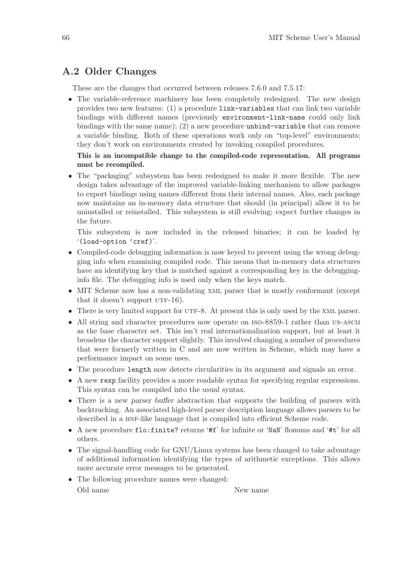## A.2 Older Changes

These are the changes that occurred between releases 7.6.0 and 7.5.17:

• The variable-reference machinery has been completely redesigned. The new design provides two new features: (1) a procedure link-variables that can link two variable bindings with different names (previously environment-link-name could only link bindings with the same name); (2) a new procedure unbind-variable that can remove a variable binding. Both of these operations work only on "top-level" environments; they don't work on environments created by invoking compiled procedures.

### This is an incompatible change to the compiled-code representation. All programs must be recompiled.

• The "packaging" subsystem has been redesigned to make it more flexible. The new design takes advantage of the improved variable-linking mechanism to allow packages to export bindings using names different from their internal names. Also, each package now maintains an in-memory data structure that should (in principal) allow it to be uninstalled or reinstalled. This subsystem is still evolving; expect further changes in the future.

This subsystem is now included in the released binaries; it can be loaded by '(load-option 'cref)'.

- Compiled-code debugging information is now keyed to prevent using the wrong debugging info when examining compiled code. This means that in-memory data structures have an identifying key that is matched against a corresponding key in the debugginginfo file. The debugging info is used only when the keys match.
- MIT Scheme now has a non-validating xml parser that is mostly conformant (except that it doesn't support  $UTF-16$ ).
- There is very limited support for UTF-8. At present this is only used by the XML parser.
- All string and character procedures now operate on ISO-8859-1 rather than US-ASCII as the base character set. This isn't real internationalization support, but at least it broadens the character support slightly. This involved changing a number of procedures that were formerly written in C and are now written in Scheme, which may have a performance impact on some uses.
- The procedure length now detects circularities in its argument and signals an error.
- A new rexp facility provides a more readable syntax for specifying regular expressions. This syntax can be compiled into the usual syntax.
- There is a new parser buffer abstraction that supports the building of parsers with backtracking. An associated high-level parser description language allows parsers to be described in a BNF-like language that is compiled into efficient Scheme code.
- A new procedure flo:finite? returns '#f' for infinite or 'NaN' flonums and '#t' for all others.
- The signal-handling code for GNU/Linux systems has been changed to take advantage of additional information identifying the types of arithmetic exceptions. This allows more accurate error messages to be generated.
- The following procedure names were changed:

Old name New name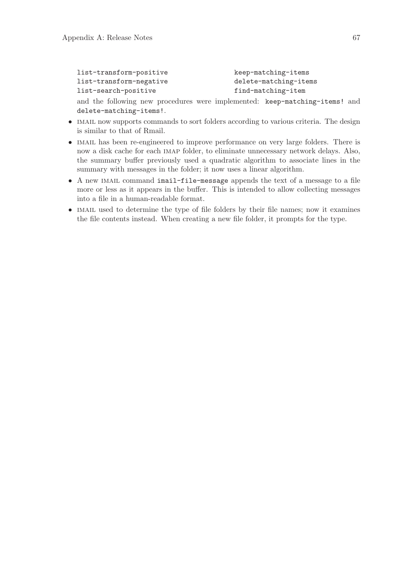```
list-transform-positive keep-matching-items
list-transform-negative delete-matching-items
list-search-positive find-matching-item
```
and the following new procedures were implemented: keep-matching-items! and delete-matching-items!.

- IMAIL now supports commands to sort folders according to various criteria. The design is similar to that of Rmail.
- IMAIL has been re-engineered to improve performance on very large folders. There is now a disk cache for each imap folder, to eliminate unnecessary network delays. Also, the summary buffer previously used a quadratic algorithm to associate lines in the summary with messages in the folder; it now uses a linear algorithm.
- A new imail command imail-file-message appends the text of a message to a file more or less as it appears in the buffer. This is intended to allow collecting messages into a file in a human-readable format.
- IMAIL used to determine the type of file folders by their file names; now it examines the file contents instead. When creating a new file folder, it prompts for the type.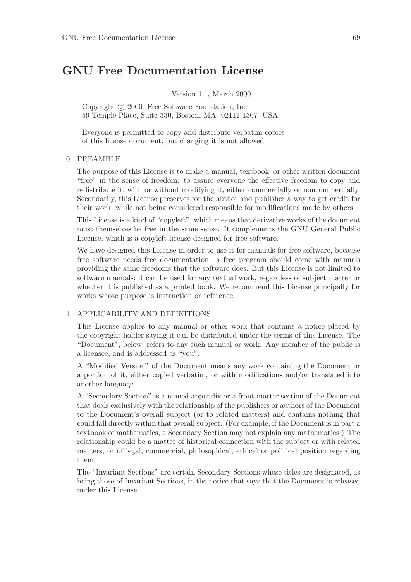# GNU Free Documentation License

Version 1.1, March 2000

Copyright © 2000 Free Software Foundation, Inc. 59 Temple Place, Suite 330, Boston, MA 02111-1307 USA

Everyone is permitted to copy and distribute verbatim copies of this license document, but changing it is not allowed.

#### 0. PREAMBLE

The purpose of this License is to make a manual, textbook, or other written document "free" in the sense of freedom: to assure everyone the effective freedom to copy and redistribute it, with or without modifying it, either commercially or noncommercially. Secondarily, this License preserves for the author and publisher a way to get credit for their work, while not being considered responsible for modifications made by others.

This License is a kind of "copyleft", which means that derivative works of the document must themselves be free in the same sense. It complements the GNU General Public License, which is a copyleft license designed for free software.

We have designed this License in order to use it for manuals for free software, because free software needs free documentation: a free program should come with manuals providing the same freedoms that the software does. But this License is not limited to software manuals; it can be used for any textual work, regardless of subject matter or whether it is published as a printed book. We recommend this License principally for works whose purpose is instruction or reference.

#### 1. APPLICABILITY AND DEFINITIONS

This License applies to any manual or other work that contains a notice placed by the copyright holder saying it can be distributed under the terms of this License. The "Document", below, refers to any such manual or work. Any member of the public is a licensee, and is addressed as "you".

A "Modified Version" of the Document means any work containing the Document or a portion of it, either copied verbatim, or with modifications and/or translated into another language.

A "Secondary Section" is a named appendix or a front-matter section of the Document that deals exclusively with the relationship of the publishers or authors of the Document to the Document's overall subject (or to related matters) and contains nothing that could fall directly within that overall subject. (For example, if the Document is in part a textbook of mathematics, a Secondary Section may not explain any mathematics.) The relationship could be a matter of historical connection with the subject or with related matters, or of legal, commercial, philosophical, ethical or political position regarding them.

The "Invariant Sections" are certain Secondary Sections whose titles are designated, as being those of Invariant Sections, in the notice that says that the Document is released under this License.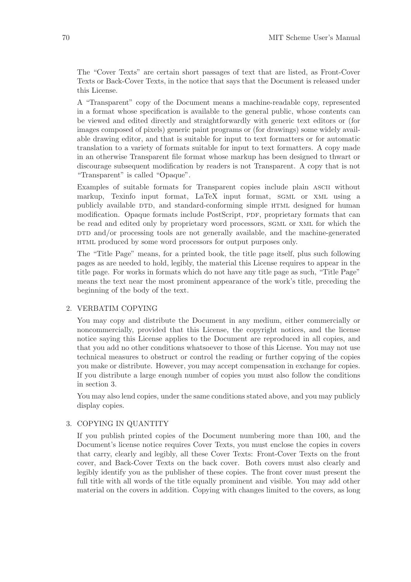The "Cover Texts" are certain short passages of text that are listed, as Front-Cover Texts or Back-Cover Texts, in the notice that says that the Document is released under this License.

A "Transparent" copy of the Document means a machine-readable copy, represented in a format whose specification is available to the general public, whose contents can be viewed and edited directly and straightforwardly with generic text editors or (for images composed of pixels) generic paint programs or (for drawings) some widely available drawing editor, and that is suitable for input to text formatters or for automatic translation to a variety of formats suitable for input to text formatters. A copy made in an otherwise Transparent file format whose markup has been designed to thwart or discourage subsequent modification by readers is not Transparent. A copy that is not "Transparent" is called "Opaque".

Examples of suitable formats for Transparent copies include plain ascii without markup, Texinfo input format, LaTeX input format, SGML or XML using a publicly available DTD, and standard-conforming simple HTML designed for human modification. Opaque formats include PostScript, PDF, proprietary formats that can be read and edited only by proprietary word processors, sgml or xml for which the  $DTD$  and/or processing tools are not generally available, and the machine-generated html produced by some word processors for output purposes only.

The "Title Page" means, for a printed book, the title page itself, plus such following pages as are needed to hold, legibly, the material this License requires to appear in the title page. For works in formats which do not have any title page as such, "Title Page" means the text near the most prominent appearance of the work's title, preceding the beginning of the body of the text.

#### 2. VERBATIM COPYING

You may copy and distribute the Document in any medium, either commercially or noncommercially, provided that this License, the copyright notices, and the license notice saying this License applies to the Document are reproduced in all copies, and that you add no other conditions whatsoever to those of this License. You may not use technical measures to obstruct or control the reading or further copying of the copies you make or distribute. However, you may accept compensation in exchange for copies. If you distribute a large enough number of copies you must also follow the conditions in section 3.

You may also lend copies, under the same conditions stated above, and you may publicly display copies.

#### 3. COPYING IN QUANTITY

If you publish printed copies of the Document numbering more than 100, and the Document's license notice requires Cover Texts, you must enclose the copies in covers that carry, clearly and legibly, all these Cover Texts: Front-Cover Texts on the front cover, and Back-Cover Texts on the back cover. Both covers must also clearly and legibly identify you as the publisher of these copies. The front cover must present the full title with all words of the title equally prominent and visible. You may add other material on the covers in addition. Copying with changes limited to the covers, as long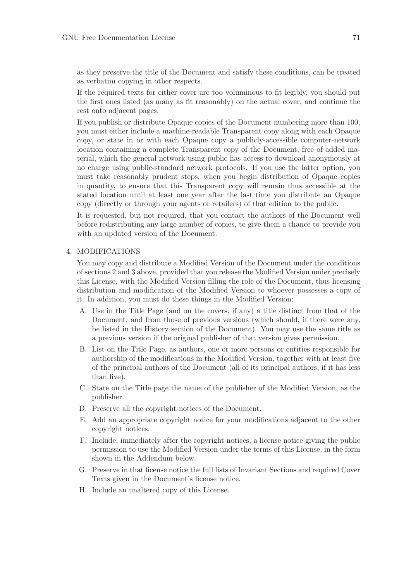as they preserve the title of the Document and satisfy these conditions, can be treated as verbatim copying in other respects.

If the required texts for either cover are too voluminous to fit legibly, you should put the first ones listed (as many as fit reasonably) on the actual cover, and continue the rest onto adjacent pages.

If you publish or distribute Opaque copies of the Document numbering more than 100, you must either include a machine-readable Transparent copy along with each Opaque copy, or state in or with each Opaque copy a publicly-accessible computer-network location containing a complete Transparent copy of the Document, free of added material, which the general network-using public has access to download anonymously at no charge using public-standard network protocols. If you use the latter option, you must take reasonably prudent steps, when you begin distribution of Opaque copies in quantity, to ensure that this Transparent copy will remain thus accessible at the stated location until at least one year after the last time you distribute an Opaque copy (directly or through your agents or retailers) of that edition to the public.

It is requested, but not required, that you contact the authors of the Document well before redistributing any large number of copies, to give them a chance to provide you with an updated version of the Document.

#### 4. MODIFICATIONS

You may copy and distribute a Modified Version of the Document under the conditions of sections 2 and 3 above, provided that you release the Modified Version under precisely this License, with the Modified Version filling the role of the Document, thus licensing distribution and modification of the Modified Version to whoever possesses a copy of it. In addition, you must do these things in the Modified Version:

- A. Use in the Title Page (and on the covers, if any) a title distinct from that of the Document, and from those of previous versions (which should, if there were any, be listed in the History section of the Document). You may use the same title as a previous version if the original publisher of that version gives permission.
- B. List on the Title Page, as authors, one or more persons or entities responsible for authorship of the modifications in the Modified Version, together with at least five of the principal authors of the Document (all of its principal authors, if it has less than five).
- C. State on the Title page the name of the publisher of the Modified Version, as the publisher.
- D. Preserve all the copyright notices of the Document.
- E. Add an appropriate copyright notice for your modifications adjacent to the other copyright notices.
- F. Include, immediately after the copyright notices, a license notice giving the public permission to use the Modified Version under the terms of this License, in the form shown in the Addendum below.
- G. Preserve in that license notice the full lists of Invariant Sections and required Cover Texts given in the Document's license notice.
- H. Include an unaltered copy of this License.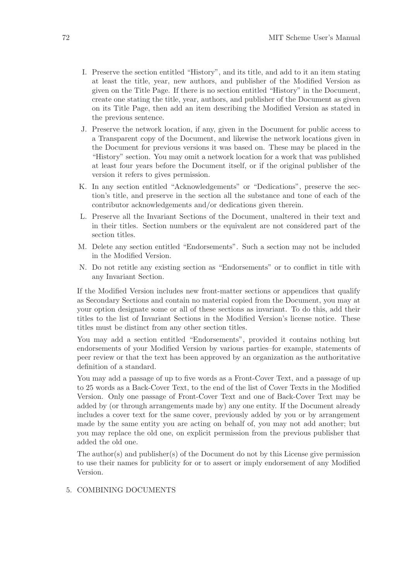- I. Preserve the section entitled "History", and its title, and add to it an item stating at least the title, year, new authors, and publisher of the Modified Version as given on the Title Page. If there is no section entitled "History" in the Document, create one stating the title, year, authors, and publisher of the Document as given on its Title Page, then add an item describing the Modified Version as stated in the previous sentence.
- J. Preserve the network location, if any, given in the Document for public access to a Transparent copy of the Document, and likewise the network locations given in the Document for previous versions it was based on. These may be placed in the "History" section. You may omit a network location for a work that was published at least four years before the Document itself, or if the original publisher of the version it refers to gives permission.
- K. In any section entitled "Acknowledgements" or "Dedications", preserve the section's title, and preserve in the section all the substance and tone of each of the contributor acknowledgements and/or dedications given therein.
- L. Preserve all the Invariant Sections of the Document, unaltered in their text and in their titles. Section numbers or the equivalent are not considered part of the section titles.
- M. Delete any section entitled "Endorsements". Such a section may not be included in the Modified Version.
- N. Do not retitle any existing section as "Endorsements" or to conflict in title with any Invariant Section.

If the Modified Version includes new front-matter sections or appendices that qualify as Secondary Sections and contain no material copied from the Document, you may at your option designate some or all of these sections as invariant. To do this, add their titles to the list of Invariant Sections in the Modified Version's license notice. These titles must be distinct from any other section titles.

You may add a section entitled "Endorsements", provided it contains nothing but endorsements of your Modified Version by various parties–for example, statements of peer review or that the text has been approved by an organization as the authoritative definition of a standard.

You may add a passage of up to five words as a Front-Cover Text, and a passage of up to 25 words as a Back-Cover Text, to the end of the list of Cover Texts in the Modified Version. Only one passage of Front-Cover Text and one of Back-Cover Text may be added by (or through arrangements made by) any one entity. If the Document already includes a cover text for the same cover, previously added by you or by arrangement made by the same entity you are acting on behalf of, you may not add another; but you may replace the old one, on explicit permission from the previous publisher that added the old one.

The author(s) and publisher(s) of the Document do not by this License give permission to use their names for publicity for or to assert or imply endorsement of any Modified Version.

#### 5. COMBINING DOCUMENTS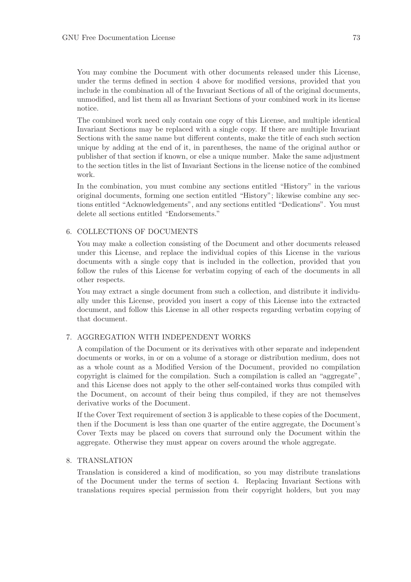You may combine the Document with other documents released under this License, under the terms defined in section 4 above for modified versions, provided that you include in the combination all of the Invariant Sections of all of the original documents, unmodified, and list them all as Invariant Sections of your combined work in its license notice.

The combined work need only contain one copy of this License, and multiple identical Invariant Sections may be replaced with a single copy. If there are multiple Invariant Sections with the same name but different contents, make the title of each such section unique by adding at the end of it, in parentheses, the name of the original author or publisher of that section if known, or else a unique number. Make the same adjustment to the section titles in the list of Invariant Sections in the license notice of the combined work.

In the combination, you must combine any sections entitled "History" in the various original documents, forming one section entitled "History"; likewise combine any sections entitled "Acknowledgements", and any sections entitled "Dedications". You must delete all sections entitled "Endorsements."

#### 6. COLLECTIONS OF DOCUMENTS

You may make a collection consisting of the Document and other documents released under this License, and replace the individual copies of this License in the various documents with a single copy that is included in the collection, provided that you follow the rules of this License for verbatim copying of each of the documents in all other respects.

You may extract a single document from such a collection, and distribute it individually under this License, provided you insert a copy of this License into the extracted document, and follow this License in all other respects regarding verbatim copying of that document.

#### 7. AGGREGATION WITH INDEPENDENT WORKS

A compilation of the Document or its derivatives with other separate and independent documents or works, in or on a volume of a storage or distribution medium, does not as a whole count as a Modified Version of the Document, provided no compilation copyright is claimed for the compilation. Such a compilation is called an "aggregate", and this License does not apply to the other self-contained works thus compiled with the Document, on account of their being thus compiled, if they are not themselves derivative works of the Document.

If the Cover Text requirement of section 3 is applicable to these copies of the Document, then if the Document is less than one quarter of the entire aggregate, the Document's Cover Texts may be placed on covers that surround only the Document within the aggregate. Otherwise they must appear on covers around the whole aggregate.

#### 8. TRANSLATION

Translation is considered a kind of modification, so you may distribute translations of the Document under the terms of section 4. Replacing Invariant Sections with translations requires special permission from their copyright holders, but you may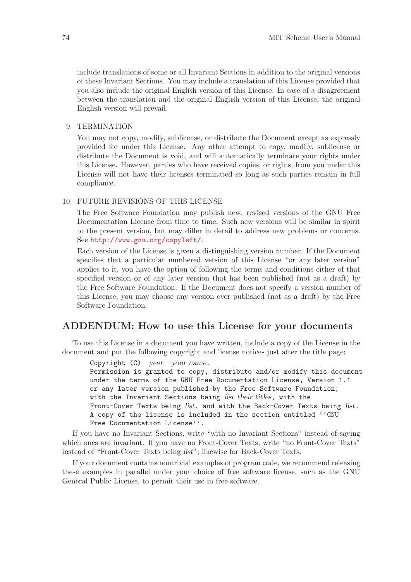<span id="page-75-0"></span>include translations of some or all Invariant Sections in addition to the original versions of these Invariant Sections. You may include a translation of this License provided that you also include the original English version of this License. In case of a disagreement between the translation and the original English version of this License, the original English version will prevail.

#### 9. TERMINATION

You may not copy, modify, sublicense, or distribute the Document except as expressly provided for under this License. Any other attempt to copy, modify, sublicense or distribute the Document is void, and will automatically terminate your rights under this License. However, parties who have received copies, or rights, from you under this License will not have their licenses terminated so long as such parties remain in full compliance.

#### 10. FUTURE REVISIONS OF THIS LICENSE

The Free Software Foundation may publish new, revised versions of the GNU Free Documentation License from time to time. Such new versions will be similar in spirit to the present version, but may differ in detail to address new problems or concerns. See <http://www.gnu.org/copyleft/>.

Each version of the License is given a distinguishing version number. If the Document specifies that a particular numbered version of this License "or any later version" applies to it, you have the option of following the terms and conditions either of that specified version or of any later version that has been published (not as a draft) by the Free Software Foundation. If the Document does not specify a version number of this License, you may choose any version ever published (not as a draft) by the Free Software Foundation.

#### ADDENDUM: How to use this License for your documents

To use this License in a document you have written, include a copy of the License in the document and put the following copyright and license notices just after the title page:

Copyright (C) year your name.

Permission is granted to copy, distribute and/or modify this document under the terms of the GNU Free Documentation License, Version 1.1 or any later version published by the Free Software Foundation; with the Invariant Sections being list their titles, with the Front-Cover Texts being list, and with the Back-Cover Texts being list. A copy of the license is included in the section entitled ''GNU Free Documentation License''.

If you have no Invariant Sections, write "with no Invariant Sections" instead of saying which ones are invariant. If you have no Front-Cover Texts, write "no Front-Cover Texts" instead of "Front-Cover Texts being list"; likewise for Back-Cover Texts.

If your document contains nontrivial examples of program code, we recommend releasing these examples in parallel under your choice of free software license, such as the GNU General Public License, to permit their use in free software.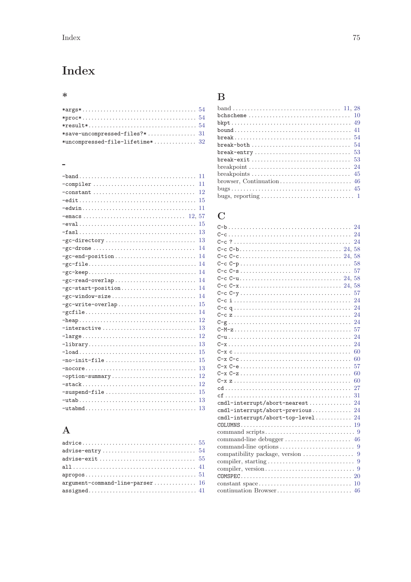# <span id="page-76-0"></span>Index

### $\ast$

| $*$ uncompressed-file-lifetime $*$ 32 |  |
|---------------------------------------|--|

#### $\equiv$

| 11                                                                                     |
|----------------------------------------------------------------------------------------|
| -compiler<br>11                                                                        |
| 12                                                                                     |
| 15                                                                                     |
| 11                                                                                     |
|                                                                                        |
| 15                                                                                     |
| 13<br>$-fas1$                                                                          |
| 13<br>$-gc$ -directory                                                                 |
| 14                                                                                     |
| 14<br>-gc-end-position                                                                 |
| 14                                                                                     |
| 14                                                                                     |
| 14<br>$-gc$ -read-overlap                                                              |
| 14                                                                                     |
| 14<br>$-gc$ -window-size                                                               |
| 15<br>-gc-write-overlap                                                                |
| 14                                                                                     |
| 12                                                                                     |
| 13<br>$-$ interactive                                                                  |
| 12                                                                                     |
| 13<br>$-library \ldots \ldots \ldots \ldots \ldots \ldots \ldots \ldots \ldots \ldots$ |
| 15                                                                                     |
| 15                                                                                     |
| 13                                                                                     |
| 12<br>-option-summary                                                                  |
| 12                                                                                     |
| -suspend-file<br>15                                                                    |
| 13                                                                                     |
| 13                                                                                     |

### $\mathbf{A}$

| $\mathtt{advice} \ldots \ldots \ldots \ldots \ldots \ldots \ldots \ldots \ldots \ldots \ldots \ldots \mathtt{55}$ |  |
|-------------------------------------------------------------------------------------------------------------------|--|
| $\mathtt{advise-entry} \dots \dots \dots \dots \dots \dots \dots \dots \dots \dots \ 54$                          |  |
| $\mathtt{advise}\text{-}\mathtt{exit}\dots\ldots\dots\dots\dots\dots\dots\dots\dots\ 55$                          |  |
|                                                                                                                   |  |
| $\mathtt{appropos}\ldots\ldots\ldots\ldots\ldots\ldots\ldots\ldots\ldots\ldots\ldots\ldots\text{51}$              |  |
| argument-command-line-parser $16$                                                                                 |  |
| $\texttt{assigned} \dots \dots \dots \dots \dots \dots \dots \dots \dots \dots \dots \, 41$                       |  |

### $\label{eq:1} \mathbf{B}$

### $\mathbf C$

|                                                                              | 24 |
|------------------------------------------------------------------------------|----|
|                                                                              | 24 |
|                                                                              | 24 |
|                                                                              |    |
|                                                                              |    |
|                                                                              | 58 |
|                                                                              | 57 |
|                                                                              |    |
|                                                                              |    |
|                                                                              | 57 |
|                                                                              | 24 |
|                                                                              | 24 |
|                                                                              | 24 |
|                                                                              | 24 |
|                                                                              | 57 |
|                                                                              | 24 |
|                                                                              | 24 |
|                                                                              | 60 |
|                                                                              | 60 |
|                                                                              | 57 |
|                                                                              | 60 |
|                                                                              | 60 |
|                                                                              | 27 |
|                                                                              | 31 |
| cmdl-interrupt/abort-nearest                                                 | 24 |
| cmdl-interrupt/abort-previous                                                | 24 |
| cmdl-interrupt/abort-top-level 24                                            |    |
|                                                                              |    |
|                                                                              |    |
|                                                                              |    |
|                                                                              |    |
|                                                                              |    |
|                                                                              |    |
|                                                                              |    |
|                                                                              |    |
| $constant space \dots \dots \dots \dots \dots \dots \dots \dots \dots \dots$ | 10 |
|                                                                              |    |
|                                                                              |    |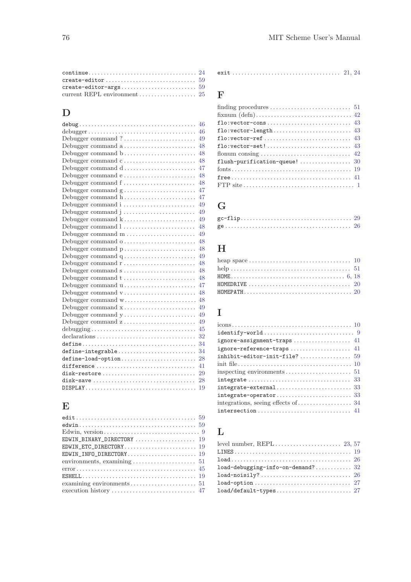| $create\text{-}editor\text{-}args \dots \dots \dots \dots \dots \dots \dots \dots \dots \ 59$ |  |
|-----------------------------------------------------------------------------------------------|--|
|                                                                                               |  |

### $\overline{D}$

|                                                                | 46 |
|----------------------------------------------------------------|----|
|                                                                | 46 |
| Debugger command ?                                             | 49 |
| Debugger command a                                             | 48 |
| Debugger command b                                             | 48 |
| Debugger command c                                             | 48 |
| Debugger command d                                             | 47 |
| Debugger command e                                             | 48 |
| Debugger command f                                             | 48 |
| Debugger command g                                             | 47 |
| Debugger command h                                             | 47 |
| Debugger command i                                             | 49 |
|                                                                | 49 |
| Debugger command k                                             | 49 |
| Debugger command 1                                             | 48 |
| Debugger command $m \ldots \ldots \ldots \ldots \ldots \ldots$ | 49 |
| Debugger command o                                             | 48 |
| Debugger command p                                             | 48 |
| Debugger command q                                             | 49 |
| Debugger command r                                             | 48 |
| Debugger command s                                             | 48 |
| Debugger command t                                             | 48 |
| Debugger command u                                             | 47 |
| Debugger command v                                             | 48 |
| Debugger command w                                             | 48 |
| Debugger command x                                             | 49 |
| Debugger command y                                             | 49 |
| Debugger command z                                             | 49 |
|                                                                | 45 |
|                                                                | 32 |
|                                                                | 34 |
| define-integrable                                              | 34 |
| define-load-option                                             | 28 |
| difference                                                     | 41 |
| disk-restore                                                   | 29 |
| disk-save                                                      | 28 |
|                                                                | 19 |

### E

| EDWIN_BINARY_DIRECTORY  19                                                                 |  |
|--------------------------------------------------------------------------------------------|--|
|                                                                                            |  |
|                                                                                            |  |
| environments, examining $\dots \dots \dots \dots \dots \dots \dots 51$                     |  |
| $error \dots \dots \dots \dots \dots \dots \dots \dots \dots \dots \dots \dots \dots \ 45$ |  |
|                                                                                            |  |
|                                                                                            |  |
|                                                                                            |  |

#### exit . . . . . . . . . . . . . . . . . . . . . . . . . . . . . . . . . . . . [21](#page-22-0), [24](#page-25-0)

### F

| $\mathtt{flo:vector-set!}\dots\dots\dots\dots\dots\dots\dots\dots\dots\quad 43$          |
|------------------------------------------------------------------------------------------|
|                                                                                          |
|                                                                                          |
|                                                                                          |
|                                                                                          |
| FTP site $\dots \dots \dots \dots \dots \dots \dots \dots \dots \dots \dots \dots \dots$ |

### G

# H

| HOMEDRIVE $\ldots \ldots \ldots \ldots \ldots \ldots \ldots \ldots \ldots \ldots \ldots \ldots \quad 20$ |  |
|----------------------------------------------------------------------------------------------------------|--|
|                                                                                                          |  |

# I

| ignore-reference-traps 41                                                          |
|------------------------------------------------------------------------------------|
| $\texttt{inhibit-editor-init-file?}\dots\dots\dots\dots\dots \ 59$                 |
|                                                                                    |
|                                                                                    |
|                                                                                    |
|                                                                                    |
|                                                                                    |
|                                                                                    |
| $intersection \ldots \ldots \ldots \ldots \ldots \ldots \ldots \ldots \ldots \ 41$ |

### L

| load-debugging-info-on-demand? 32 |
|-----------------------------------|
|                                   |
|                                   |
|                                   |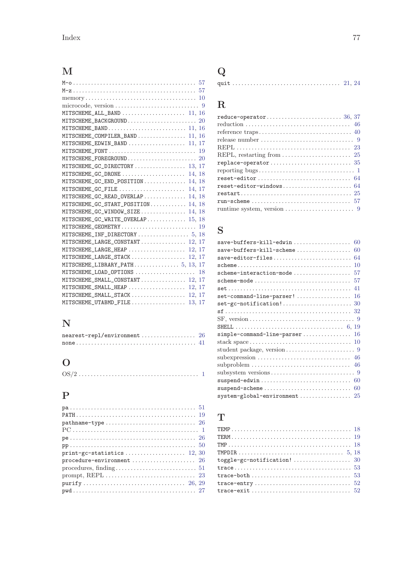# M

# N

| $nearest-repl/environment \ldots \ldots \ldots \ldots \ldots 26$ |  |
|------------------------------------------------------------------|--|
|                                                                  |  |

# O

|--|--|

# P

| pathname-type $\ldots \ldots \ldots \ldots \ldots \ldots \ldots \ldots \ldots 26$              |
|------------------------------------------------------------------------------------------------|
| $PC \dots \dots \dots \dots \dots \dots \dots \dots \dots \dots \dots \dots \dots \dots \dots$ |
|                                                                                                |
|                                                                                                |
| $print-gc-statistics \ldots \ldots \ldots \ldots \ldots \ldots 12, 30$                         |
| procedure-environment  26                                                                      |
| $procedures, finding. \ldots \ldots \ldots \ldots \ldots \ldots \ldots \ldots 51$              |
|                                                                                                |
|                                                                                                |
|                                                                                                |

# quit . . . . . . . . . . . . . . . . . . . . . . . . . . . . . . . . . . . . [21](#page-22-0), [24](#page-25-0)

# R

Q

| release number $\dots \dots \dots \dots \dots \dots \dots \dots \dots$ 9                           |
|----------------------------------------------------------------------------------------------------|
|                                                                                                    |
| REPL, restarting from $\dots \dots \dots \dots \dots \dots \dots \dots$ 25                         |
|                                                                                                    |
|                                                                                                    |
|                                                                                                    |
|                                                                                                    |
| $\mathtt{restart} \ldots \ldots \ldots \ldots \ldots \ldots \ldots \ldots \ldots \ldots \ldots 25$ |
|                                                                                                    |
| runtime system, version $\dots \dots \dots \dots \dots \dots \dots$ 9                              |
|                                                                                                    |

# S

# T

| toggle-gc-notification!  30 |  |
|-----------------------------|--|
|                             |  |
|                             |  |
|                             |  |
|                             |  |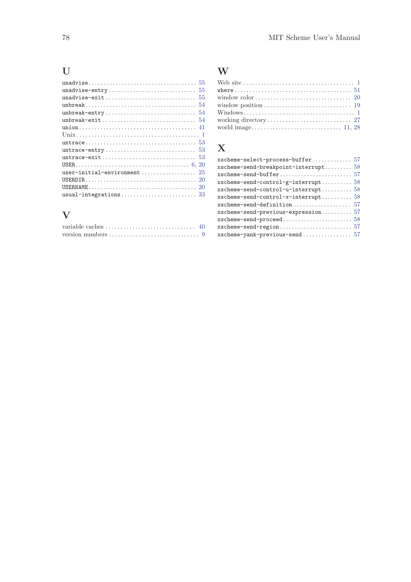### U

| unadvise-exit $\ldots \ldots \ldots \ldots \ldots \ldots \ldots \ldots \ldots 55$ |  |
|-----------------------------------------------------------------------------------|--|
|                                                                                   |  |
|                                                                                   |  |
| unbreak-exit $\ldots \ldots \ldots \ldots \ldots \ldots \ldots \ldots \ldots 54$  |  |
|                                                                                   |  |
|                                                                                   |  |
|                                                                                   |  |
|                                                                                   |  |
| untrace-exit  53                                                                  |  |
|                                                                                   |  |
| user-initial-environment $25$                                                     |  |
|                                                                                   |  |
|                                                                                   |  |
|                                                                                   |  |
|                                                                                   |  |

#### V

### W

| where $\ldots \ldots \ldots \ldots \ldots \ldots \ldots \ldots \ldots \ldots \ldots 51$ |  |
|-----------------------------------------------------------------------------------------|--|
|                                                                                         |  |
| window position $\ldots \ldots \ldots \ldots \ldots \ldots \ldots \ldots \ldots$ 19     |  |
|                                                                                         |  |
|                                                                                         |  |
|                                                                                         |  |

### X

| xscheme-send-breakpoint-interrupt 58  |
|---------------------------------------|
|                                       |
|                                       |
| $x$ scheme-send-control-g-interrupt58 |
| $xscheme-send-control-u-interrupt58$  |
| $xscheme-send-control-x-interrupt58$  |
| xscheme-send-definition  57           |
| $xscheme-send-previous-expression$    |
|                                       |
|                                       |
|                                       |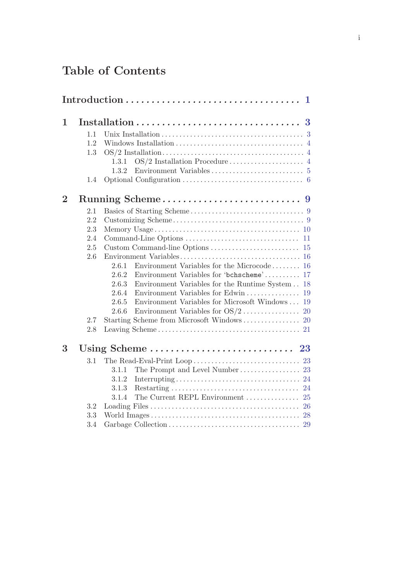# Table of Contents

| 1              |     |                                                            |  |
|----------------|-----|------------------------------------------------------------|--|
|                | 1.1 |                                                            |  |
|                | 1.2 |                                                            |  |
|                | 1.3 |                                                            |  |
|                |     | 1.3.1                                                      |  |
|                |     | 1.3.2                                                      |  |
|                | 1.4 |                                                            |  |
| $\overline{2}$ |     | Running Scheme<br>- 9                                      |  |
|                | 2.1 |                                                            |  |
|                | 2.2 |                                                            |  |
|                | 2.3 |                                                            |  |
|                | 2.4 |                                                            |  |
|                | 2.5 |                                                            |  |
|                | 2.6 |                                                            |  |
|                |     | Environment Variables for the Microcode $16$<br>2.6.1      |  |
|                |     | Environment Variables for 'bchscheme' 17<br>2.6.2          |  |
|                |     | 2.6.3<br>Environment Variables for the Runtime System 18   |  |
|                |     | Environment Variables for Edwin<br>2.6.4<br>19             |  |
|                |     | Environment Variables for Microsoft Windows<br>19<br>2.6.5 |  |
|                |     | 2.6.6                                                      |  |
|                | 2.7 |                                                            |  |
|                | 2.8 |                                                            |  |
| 3              |     |                                                            |  |
|                | 3.1 |                                                            |  |
|                |     | 3.1.1                                                      |  |
|                |     | 3.1.2                                                      |  |
|                |     | 3.1.3                                                      |  |
|                |     | 3.1.4                                                      |  |
|                | 3.2 |                                                            |  |
|                | 3.3 |                                                            |  |
|                | 3.4 |                                                            |  |